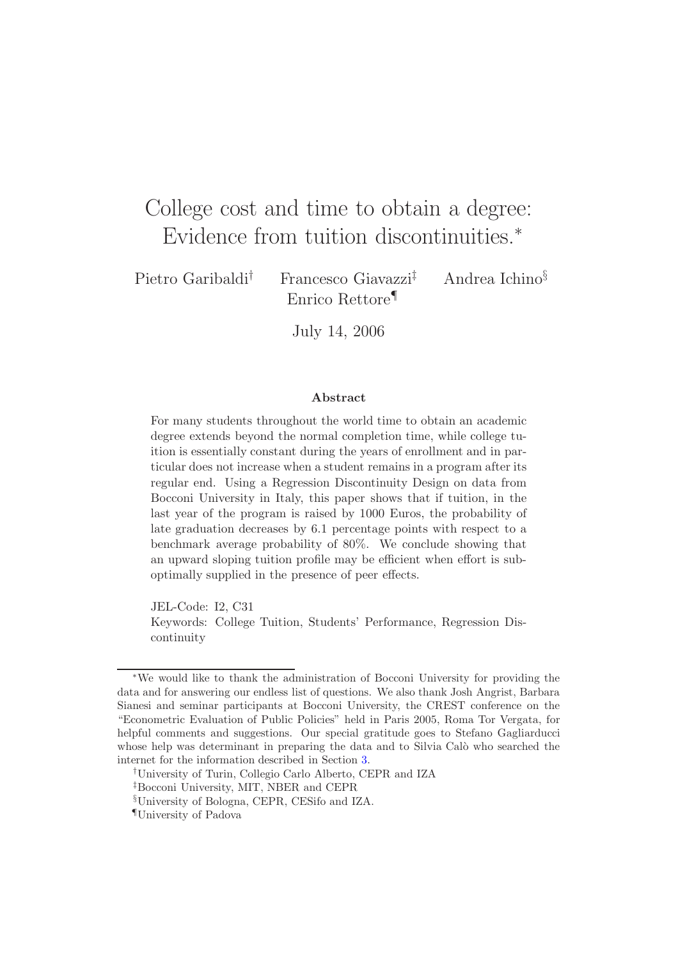# College cost and time to obtain a degree: Evidence from tuition discontinuities.<sup>∗</sup>

Pietro Garibaldi<sup>†</sup> Francesco Giavazzi<sup>‡</sup> Andrea Ichino<sup>§</sup> Enrico Rettore¶

July 14, 2006

#### **Abstract**

For many students throughout the world time to obtain an academic degree extends beyond the normal completion time, while college tuition is essentially constant during the years of enrollment and in particular does not increase when a student remains in a program after its regular end. Using a Regression Discontinuity Design on data from Bocconi University in Italy, this paper shows that if tuition, in the last year of the program is raised by 1000 Euros, the probability of late graduation decreases by 6.1 percentage points with respect to a benchmark average probability of 80%. We conclude showing that an upward sloping tuition profile may be efficient when effort is suboptimally supplied in the presence of peer effects.

JEL-Code: I2, C31 Keywords: College Tuition, Students' Performance, Regression Discontinuity

<sup>∗</sup>We would like to thank the administration of Bocconi University for providing the data and for answering our endless list of questions. We also thank Josh Angrist, Barbara Sianesi and seminar participants at Bocconi University, the CREST conference on the "Econometric Evaluation of Public Policies" held in Paris 2005, Roma Tor Vergata, for helpful comments and suggestions. Our special gratitude goes to Stefano Gagliarducci whose help was determinant in preparing the data and to Silvia Calo who searched the internet for the information described in Section [3.](#page-5-0)

<sup>†</sup>University of Turin, Collegio Carlo Alberto, CEPR and IZA

<sup>‡</sup>Bocconi University, MIT, NBER and CEPR

<sup>§</sup>University of Bologna, CEPR, CESifo and IZA.

<sup>¶</sup>University of Padova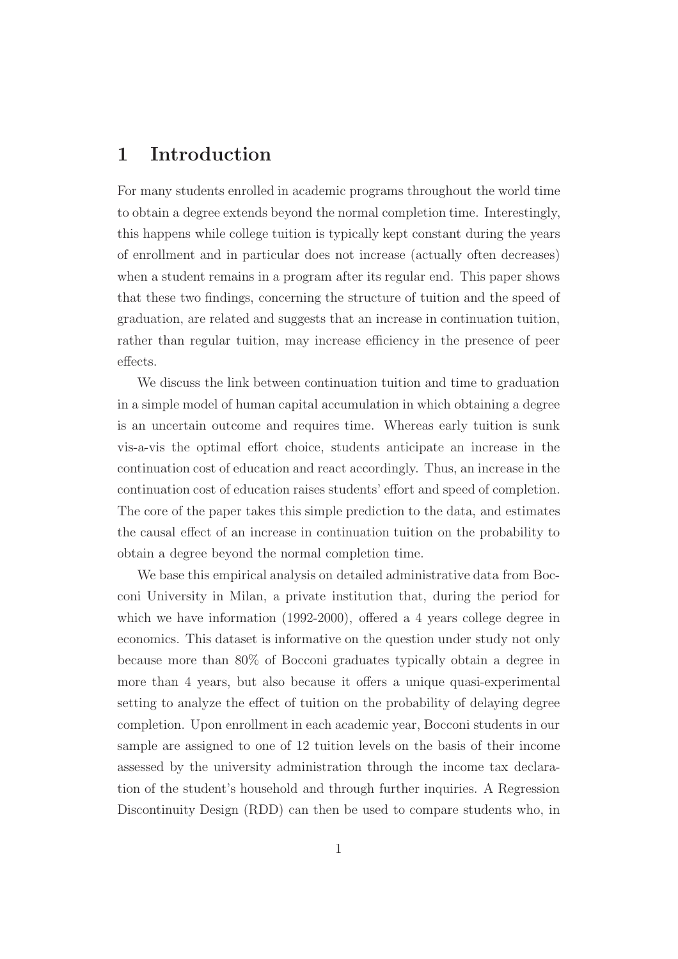## **1 Introduction**

For many students enrolled in academic programs throughout the world time to obtain a degree extends beyond the normal completion time. Interestingly, this happens while college tuition is typically kept constant during the years of enrollment and in particular does not increase (actually often decreases) when a student remains in a program after its regular end. This paper shows that these two findings, concerning the structure of tuition and the speed of graduation, are related and suggests that an increase in continuation tuition, rather than regular tuition, may increase efficiency in the presence of peer effects.

We discuss the link between continuation tuition and time to graduation in a simple model of human capital accumulation in which obtaining a degree is an uncertain outcome and requires time. Whereas early tuition is sunk vis-a-vis the optimal effort choice, students anticipate an increase in the continuation cost of education and react accordingly. Thus, an increase in the continuation cost of education raises students' effort and speed of completion. The core of the paper takes this simple prediction to the data, and estimates the causal effect of an increase in continuation tuition on the probability to obtain a degree beyond the normal completion time.

We base this empirical analysis on detailed administrative data from Bocconi University in Milan, a private institution that, during the period for which we have information (1992-2000), offered a 4 years college degree in economics. This dataset is informative on the question under study not only because more than 80% of Bocconi graduates typically obtain a degree in more than 4 years, but also because it offers a unique quasi-experimental setting to analyze the effect of tuition on the probability of delaying degree completion. Upon enrollment in each academic year, Bocconi students in our sample are assigned to one of 12 tuition levels on the basis of their income assessed by the university administration through the income tax declaration of the student's household and through further inquiries. A Regression Discontinuity Design (RDD) can then be used to compare students who, in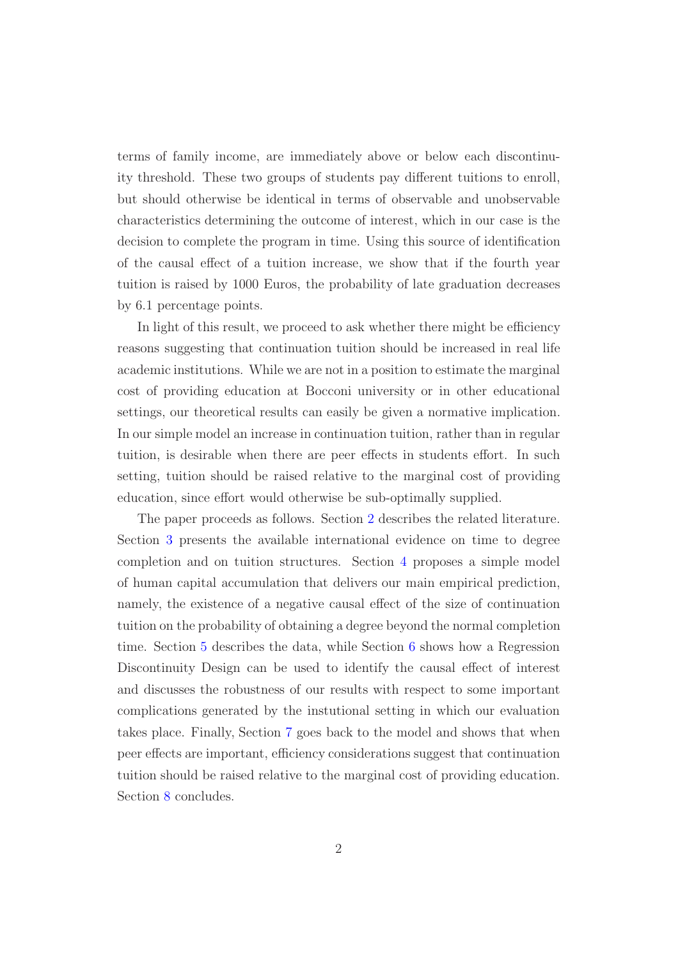terms of family income, are immediately above or below each discontinuity threshold. These two groups of students pay different tuitions to enroll, but should otherwise be identical in terms of observable and unobservable characteristics determining the outcome of interest, which in our case is the decision to complete the program in time. Using this source of identification of the causal effect of a tuition increase, we show that if the fourth year tuition is raised by 1000 Euros, the probability of late graduation decreases by 6.1 percentage points.

In light of this result, we proceed to ask whether there might be efficiency reasons suggesting that continuation tuition should be increased in real life academic institutions. While we are not in a position to estimate the marginal cost of providing education at Bocconi university or in other educational settings, our theoretical results can easily be given a normative implication. In our simple model an increase in continuation tuition, rather than in regular tuition, is desirable when there are peer effects in students effort. In such setting, tuition should be raised relative to the marginal cost of providing education, since effort would otherwise be sub-optimally supplied.

The paper proceeds as follows. Section [2](#page-3-0) describes the related literature. Section [3](#page-5-0) presents the available international evidence on time to degree completion and on tuition structures. Section [4](#page-8-0) proposes a simple model of human capital accumulation that delivers our main empirical prediction, namely, the existence of a negative causal effect of the size of continuation tuition on the probability of obtaining a degree beyond the normal completion time. Section [5](#page-12-0) describes the data, while Section [6](#page-15-0) shows how a Regression Discontinuity Design can be used to identify the causal effect of interest and discusses the robustness of our results with respect to some important complications generated by the instutional setting in which our evaluation takes place. Finally, Section [7](#page-25-0) goes back to the model and shows that when peer effects are important, efficiency considerations suggest that continuation tuition should be raised relative to the marginal cost of providing education. Section [8](#page-27-0) concludes.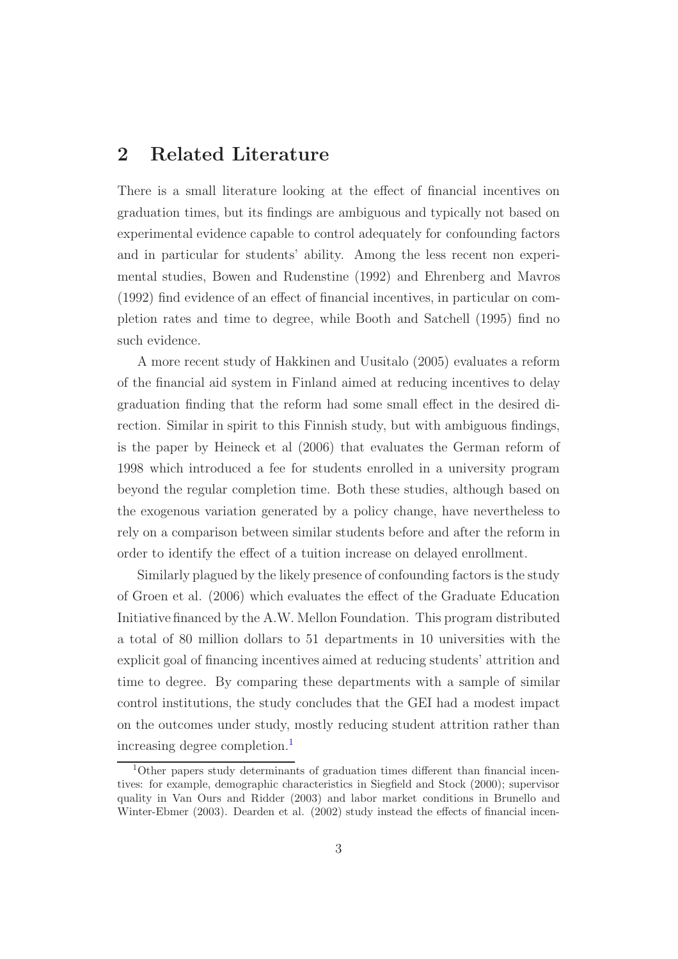## <span id="page-3-0"></span>**2 Related Literature**

There is a small literature looking at the effect of financial incentives on graduation times, but its findings are ambiguous and typically not based on experimental evidence capable to control adequately for confounding factors and in particular for students' ability. Among the less recent non experimental studies, Bowen and Rudenstine (1992) and Ehrenberg and Mavros (1992) find evidence of an effect of financial incentives, in particular on completion rates and time to degree, while Booth and Satchell (1995) find no such evidence.

A more recent study of Hakkinen and Uusitalo (2005) evaluates a reform of the financial aid system in Finland aimed at reducing incentives to delay graduation finding that the reform had some small effect in the desired direction. Similar in spirit to this Finnish study, but with ambiguous findings, is the paper by Heineck et al (2006) that evaluates the German reform of 1998 which introduced a fee for students enrolled in a university program beyond the regular completion time. Both these studies, although based on the exogenous variation generated by a policy change, have nevertheless to rely on a comparison between similar students before and after the reform in order to identify the effect of a tuition increase on delayed enrollment.

Similarly plagued by the likely presence of confounding factors is the study of Groen et al. (2006) which evaluates the effect of the Graduate Education Initiative financed by the A.W. Mellon Foundation. This program distributed a total of 80 million dollars to 51 departments in 10 universities with the explicit goal of financing incentives aimed at reducing students' attrition and time to degree. By comparing these departments with a sample of similar control institutions, the study concludes that the GEI had a modest impact on the outcomes under study, mostly reducing student attrition rather than increasing degree completion.<sup>[1](#page-3-1)</sup>

<span id="page-3-1"></span><sup>1</sup>Other papers study determinants of graduation times different than financial incentives: for example, demographic characteristics in Siegfield and Stock (2000); supervisor quality in Van Ours and Ridder (2003) and labor market conditions in Brunello and Winter-Ebmer (2003). Dearden et al. (2002) study instead the effects of financial incen-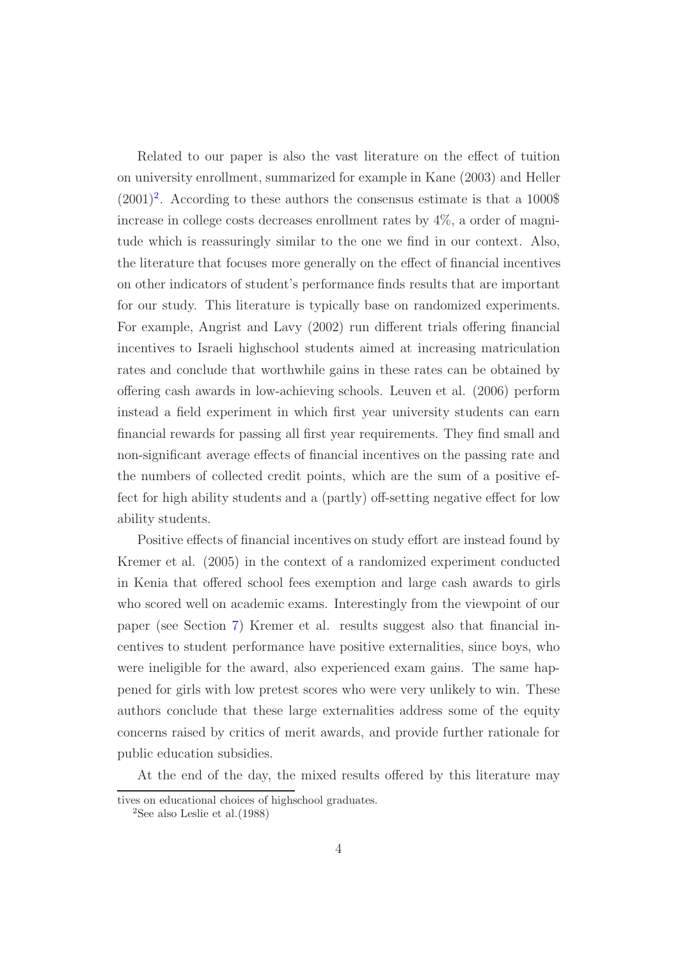Related to our paper is also the vast literature on the effect of tuition on university enrollment, summarized for example in Kane (2003) and Heller  $(2001)^2$  $(2001)^2$  $(2001)^2$ . According to these authors the consensus estimate is that a 1000\$ increase in college costs decreases enrollment rates by 4%, a order of magnitude which is reassuringly similar to the one we find in our context. Also, the literature that focuses more generally on the effect of financial incentives on other indicators of student's performance finds results that are important for our study. This literature is typically base on randomized experiments. For example, Angrist and Lavy (2002) run different trials offering financial incentives to Israeli highschool students aimed at increasing matriculation rates and conclude that worthwhile gains in these rates can be obtained by offering cash awards in low-achieving schools. Leuven et al. (2006) perform instead a field experiment in which first year university students can earn financial rewards for passing all first year requirements. They find small and non-significant average effects of financial incentives on the passing rate and the numbers of collected credit points, which are the sum of a positive effect for high ability students and a (partly) off-setting negative effect for low ability students.

Positive effects of financial incentives on study effort are instead found by Kremer et al. (2005) in the context of a randomized experiment conducted in Kenia that offered school fees exemption and large cash awards to girls who scored well on academic exams. Interestingly from the viewpoint of our paper (see Section [7\)](#page-25-0) Kremer et al. results suggest also that financial incentives to student performance have positive externalities, since boys, who were ineligible for the award, also experienced exam gains. The same happened for girls with low pretest scores who were very unlikely to win. These authors conclude that these large externalities address some of the equity concerns raised by critics of merit awards, and provide further rationale for public education subsidies.

At the end of the day, the mixed results offered by this literature may

<span id="page-4-0"></span>tives on educational choices of highschool graduates.

<sup>&</sup>lt;sup>2</sup>See also Leslie et al.  $(1988)$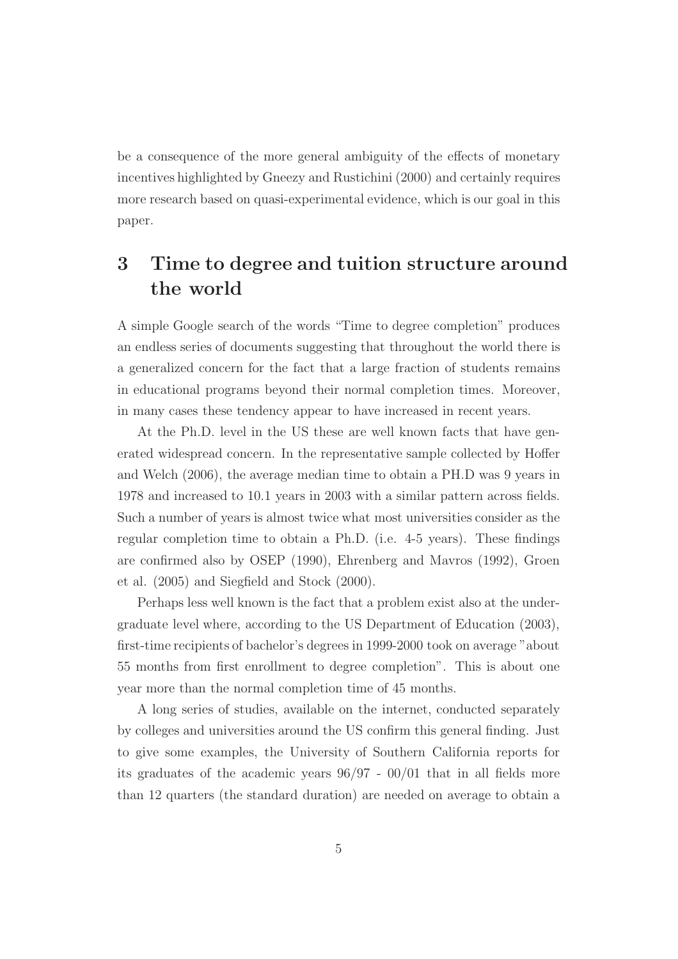be a consequence of the more general ambiguity of the effects of monetary incentives highlighted by Gneezy and Rustichini (2000) and certainly requires more research based on quasi-experimental evidence, which is our goal in this paper.

## <span id="page-5-0"></span>**3 Time to degree and tuition structure around the world**

A simple Google search of the words "Time to degree completion" produces an endless series of documents suggesting that throughout the world there is a generalized concern for the fact that a large fraction of students remains in educational programs beyond their normal completion times. Moreover, in many cases these tendency appear to have increased in recent years.

At the Ph.D. level in the US these are well known facts that have generated widespread concern. In the representative sample collected by Hoffer and Welch (2006), the average median time to obtain a PH.D was 9 years in 1978 and increased to 10.1 years in 2003 with a similar pattern across fields. Such a number of years is almost twice what most universities consider as the regular completion time to obtain a Ph.D. (i.e. 4-5 years). These findings are confirmed also by OSEP (1990), Ehrenberg and Mavros (1992), Groen et al. (2005) and Siegfield and Stock (2000).

Perhaps less well known is the fact that a problem exist also at the undergraduate level where, according to the US Department of Education (2003), first-time recipients of bachelor's degrees in 1999-2000 took on average "about 55 months from first enrollment to degree completion". This is about one year more than the normal completion time of 45 months.

A long series of studies, available on the internet, conducted separately by colleges and universities around the US confirm this general finding. Just to give some examples, the University of Southern California reports for its graduates of the academic years 96/97 - 00/01 that in all fields more than 12 quarters (the standard duration) are needed on average to obtain a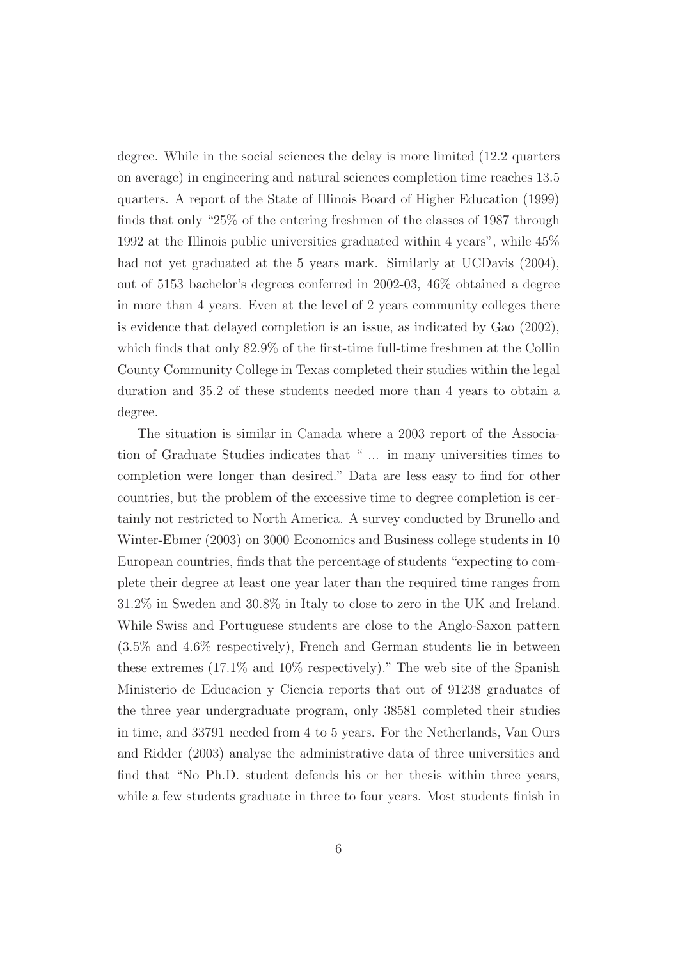degree. While in the social sciences the delay is more limited (12.2 quarters on average) in engineering and natural sciences completion time reaches 13.5 quarters. A report of the State of Illinois Board of Higher Education (1999) finds that only "25% of the entering freshmen of the classes of 1987 through 1992 at the Illinois public universities graduated within 4 years", while 45% had not yet graduated at the 5 years mark. Similarly at UCDavis  $(2004)$ , out of 5153 bachelor's degrees conferred in 2002-03, 46% obtained a degree in more than 4 years. Even at the level of 2 years community colleges there is evidence that delayed completion is an issue, as indicated by Gao (2002), which finds that only 82.9% of the first-time full-time freshmen at the Collin County Community College in Texas completed their studies within the legal duration and 35.2 of these students needed more than 4 years to obtain a degree.

The situation is similar in Canada where a 2003 report of the Association of Graduate Studies indicates that " ... in many universities times to completion were longer than desired." Data are less easy to find for other countries, but the problem of the excessive time to degree completion is certainly not restricted to North America. A survey conducted by Brunello and Winter-Ebmer (2003) on 3000 Economics and Business college students in 10 European countries, finds that the percentage of students "expecting to complete their degree at least one year later than the required time ranges from 31.2% in Sweden and 30.8% in Italy to close to zero in the UK and Ireland. While Swiss and Portuguese students are close to the Anglo-Saxon pattern (3.5% and 4.6% respectively), French and German students lie in between these extremes (17.1% and 10% respectively)." The web site of the Spanish Ministerio de Educacion y Ciencia reports that out of 91238 graduates of the three year undergraduate program, only 38581 completed their studies in time, and 33791 needed from 4 to 5 years. For the Netherlands, Van Ours and Ridder (2003) analyse the administrative data of three universities and find that "No Ph.D. student defends his or her thesis within three years, while a few students graduate in three to four years. Most students finish in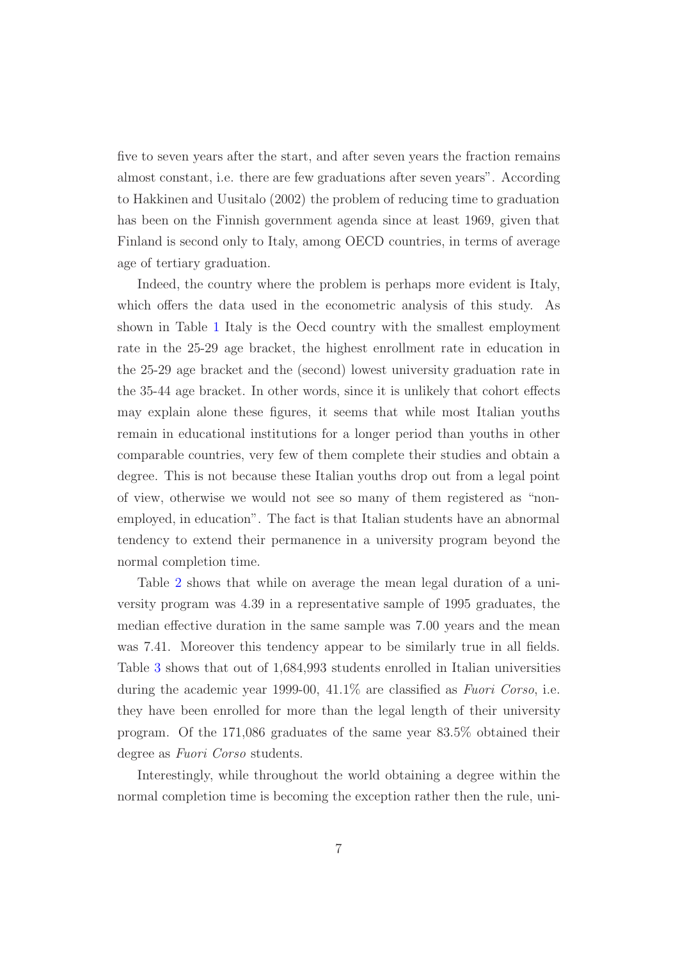five to seven years after the start, and after seven years the fraction remains almost constant, i.e. there are few graduations after seven years". According to Hakkinen and Uusitalo (2002) the problem of reducing time to graduation has been on the Finnish government agenda since at least 1969, given that Finland is second only to Italy, among OECD countries, in terms of average age of tertiary graduation.

Indeed, the country where the problem is perhaps more evident is Italy, which offers the data used in the econometric analysis of this study. As shown in Table [1](#page-35-0) Italy is the Oecd country with the smallest employment rate in the 25-29 age bracket, the highest enrollment rate in education in the 25-29 age bracket and the (second) lowest university graduation rate in the 35-44 age bracket. In other words, since it is unlikely that cohort effects may explain alone these figures, it seems that while most Italian youths remain in educational institutions for a longer period than youths in other comparable countries, very few of them complete their studies and obtain a degree. This is not because these Italian youths drop out from a legal point of view, otherwise we would not see so many of them registered as "nonemployed, in education". The fact is that Italian students have an abnormal tendency to extend their permanence in a university program beyond the normal completion time.

Table [2](#page-36-0) shows that while on average the mean legal duration of a university program was 4.39 in a representative sample of 1995 graduates, the median effective duration in the same sample was 7.00 years and the mean was 7.41. Moreover this tendency appear to be similarly true in all fields. Table [3](#page-37-0) shows that out of 1,684,993 students enrolled in Italian universities during the academic year 1999-00, 41.1% are classified as *Fuori Corso*, i.e. they have been enrolled for more than the legal length of their university program. Of the 171,086 graduates of the same year 83.5% obtained their degree as *Fuori Corso* students.

Interestingly, while throughout the world obtaining a degree within the normal completion time is becoming the exception rather then the rule, uni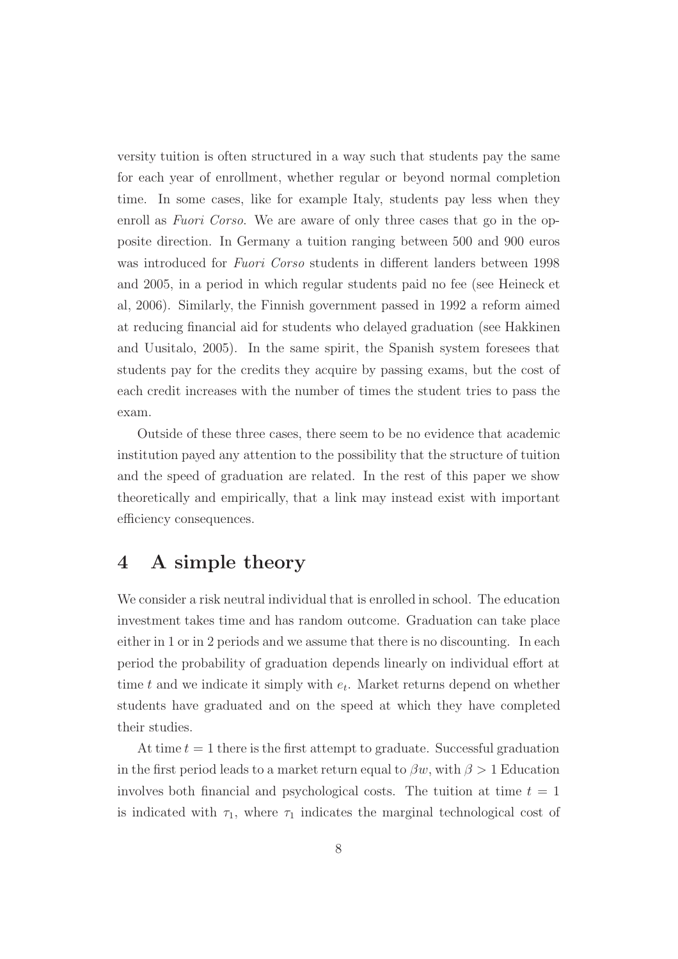versity tuition is often structured in a way such that students pay the same for each year of enrollment, whether regular or beyond normal completion time. In some cases, like for example Italy, students pay less when they enroll as *Fuori Corso*. We are aware of only three cases that go in the opposite direction. In Germany a tuition ranging between 500 and 900 euros was introduced for *Fuori Corso* students in different landers between 1998 and 2005, in a period in which regular students paid no fee (see Heineck et al, 2006). Similarly, the Finnish government passed in 1992 a reform aimed at reducing financial aid for students who delayed graduation (see Hakkinen and Uusitalo, 2005). In the same spirit, the Spanish system foresees that students pay for the credits they acquire by passing exams, but the cost of each credit increases with the number of times the student tries to pass the exam.

Outside of these three cases, there seem to be no evidence that academic institution payed any attention to the possibility that the structure of tuition and the speed of graduation are related. In the rest of this paper we show theoretically and empirically, that a link may instead exist with important efficiency consequences.

## <span id="page-8-0"></span>**4 A simple theory**

We consider a risk neutral individual that is enrolled in school. The education investment takes time and has random outcome. Graduation can take place either in 1 or in 2 periods and we assume that there is no discounting. In each period the probability of graduation depends linearly on individual effort at time t and we indicate it simply with  $e_t$ . Market returns depend on whether students have graduated and on the speed at which they have completed their studies.

At time  $t = 1$  there is the first attempt to graduate. Successful graduation in the first period leads to a market return equal to  $\beta w$ , with  $\beta > 1$  Education involves both financial and psychological costs. The tuition at time  $t = 1$ is indicated with  $\tau_1$ , where  $\tau_1$  indicates the marginal technological cost of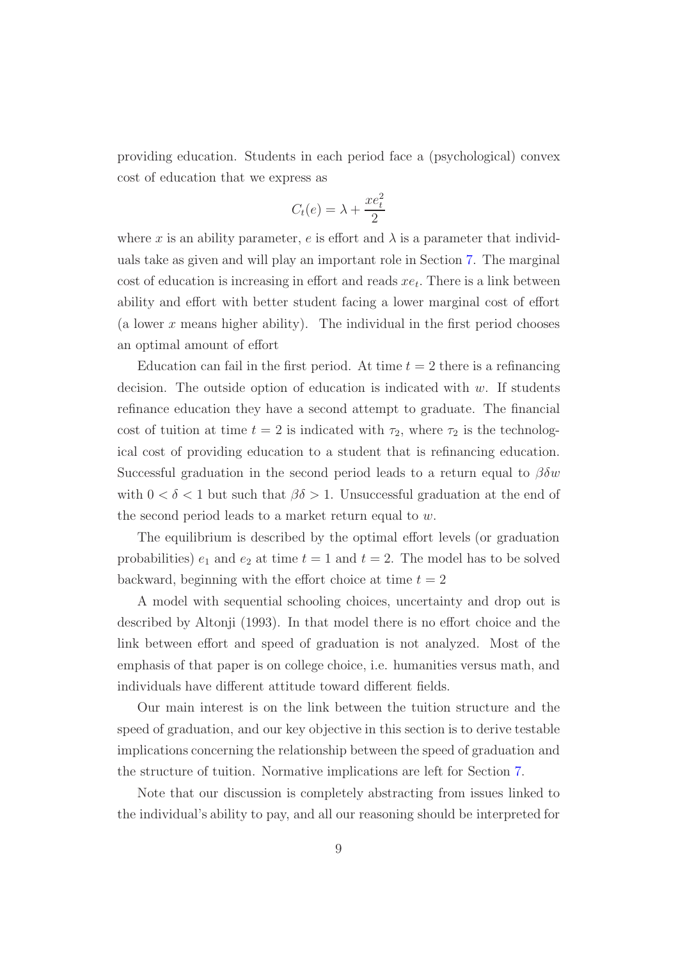providing education. Students in each period face a (psychological) convex cost of education that we express as

$$
C_t(e) = \lambda + \frac{xe_t^2}{2}
$$

where x is an ability parameter, e is effort and  $\lambda$  is a parameter that individuals take as given and will play an important role in Section [7.](#page-25-0) The marginal cost of education is increasing in effort and reads  $xe_t$ . There is a link between ability and effort with better student facing a lower marginal cost of effort (a lower  $x$  means higher ability). The individual in the first period chooses an optimal amount of effort

Education can fail in the first period. At time  $t = 2$  there is a refinancing decision. The outside option of education is indicated with  $w$ . If students refinance education they have a second attempt to graduate. The financial cost of tuition at time  $t = 2$  is indicated with  $\tau_2$ , where  $\tau_2$  is the technological cost of providing education to a student that is refinancing education. Successful graduation in the second period leads to a return equal to  $\beta \delta w$ with  $0 < \delta < 1$  but such that  $\beta \delta > 1$ . Unsuccessful graduation at the end of the second period leads to a market return equal to w.

The equilibrium is described by the optimal effort levels (or graduation probabilities)  $e_1$  and  $e_2$  at time  $t = 1$  and  $t = 2$ . The model has to be solved backward, beginning with the effort choice at time  $t = 2$ 

A model with sequential schooling choices, uncertainty and drop out is described by Altonji (1993). In that model there is no effort choice and the link between effort and speed of graduation is not analyzed. Most of the emphasis of that paper is on college choice, i.e. humanities versus math, and individuals have different attitude toward different fields.

Our main interest is on the link between the tuition structure and the speed of graduation, and our key objective in this section is to derive testable implications concerning the relationship between the speed of graduation and the structure of tuition. Normative implications are left for Section [7.](#page-25-0)

Note that our discussion is completely abstracting from issues linked to the individual's ability to pay, and all our reasoning should be interpreted for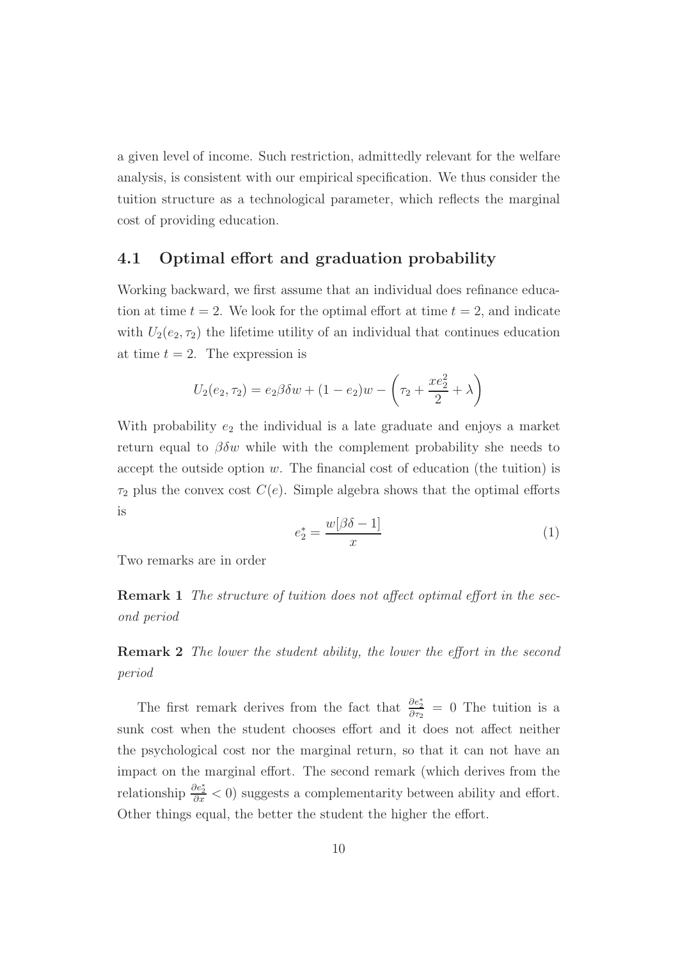a given level of income. Such restriction, admittedly relevant for the welfare analysis, is consistent with our empirical specification. We thus consider the tuition structure as a technological parameter, which reflects the marginal cost of providing education.

#### **4.1 Optimal effort and graduation probability**

Working backward, we first assume that an individual does refinance education at time  $t = 2$ . We look for the optimal effort at time  $t = 2$ , and indicate with  $U_2(e_2, \tau_2)$  the lifetime utility of an individual that continues education at time  $t = 2$ . The expression is

$$
U_2(e_2, \tau_2) = e_2 \beta \delta w + (1 - e_2) w - \left(\tau_2 + \frac{x e_2^2}{2} + \lambda\right)
$$

With probability  $e_2$  the individual is a late graduate and enjoys a market return equal to  $\beta \delta w$  while with the complement probability she needs to accept the outside option  $w$ . The financial cost of education (the tuition) is  $\tau_2$  plus the convex cost  $C(e)$ . Simple algebra shows that the optimal efforts is

<span id="page-10-0"></span>
$$
e_2^* = \frac{w[\beta \delta - 1]}{x} \tag{1}
$$

Two remarks are in order

**Remark 1** *The structure of tuition does not affect optimal effort in the second period*

**Remark 2** *The lower the student ability, the lower the effort in the second period*

The first remark derives from the fact that  $\frac{\partial e_2^*}{\partial \tau_2} = 0$  The tuition is a sunk cost when the student chooses effort and it does not affect neither the psychological cost nor the marginal return, so that it can not have an impact on the marginal effort. The second remark (which derives from the relationship  $\frac{\partial e_2^*}{\partial x} < 0$ ) suggests a complementarity between ability and effort. Other things equal, the better the student the higher the effort.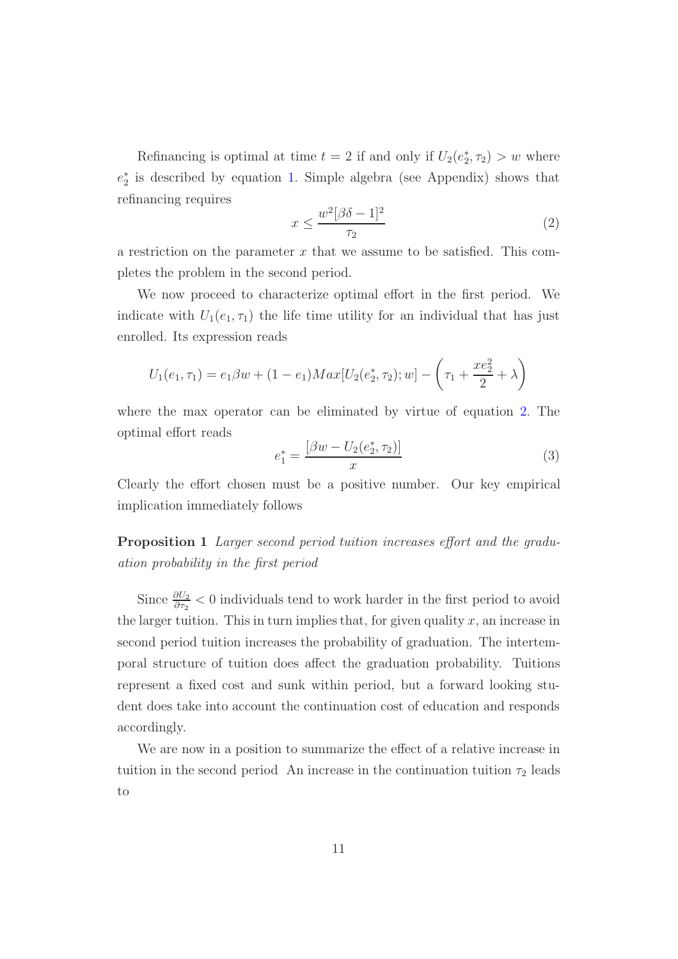Refinancing is optimal at time  $t = 2$  if and only if  $U_2(e_2^*, \tau_2) > w$  where e∗ <sup>2</sup> is described by equation [1](#page-10-0). Simple algebra (see Appendix) shows that refinancing requires

<span id="page-11-0"></span>
$$
x \le \frac{w^2[\beta \delta - 1]^2}{\tau_2} \tag{2}
$$

a restriction on the parameter x that we assume to be satisfied. This completes the problem in the second period.

We now proceed to characterize optimal effort in the first period. We indicate with  $U_1(e_1, \tau_1)$  the life time utility for an individual that has just enrolled. Its expression reads

$$
U_1(e_1, \tau_1) = e_1 \beta w + (1 - e_1) Max[U_2(e_2^*, \tau_2); w] - \left(\tau_1 + \frac{xe_2^2}{2} + \lambda\right)
$$

where the max operator can be eliminated by virtue of equation [2](#page-11-0). The optimal effort reads

<span id="page-11-1"></span>
$$
e_1^* = \frac{[\beta w - U_2(e_2^*, \tau_2)]}{x} \tag{3}
$$

Clearly the effort chosen must be a positive number. Our key empirical implication immediately follows

**Proposition 1** *Larger second period tuition increases effort and the graduation probability in the first period*

Since  $\frac{\partial U_2}{\partial \tau_2}$  < 0 individuals tend to work harder in the first period to avoid the larger tuition. This in turn implies that, for given quality  $x$ , an increase in second period tuition increases the probability of graduation. The intertemporal structure of tuition does affect the graduation probability. Tuitions represent a fixed cost and sunk within period, but a forward looking student does take into account the continuation cost of education and responds accordingly.

We are now in a position to summarize the effect of a relative increase in tuition in the second period An increase in the continuation tuition  $\tau_2$  leads to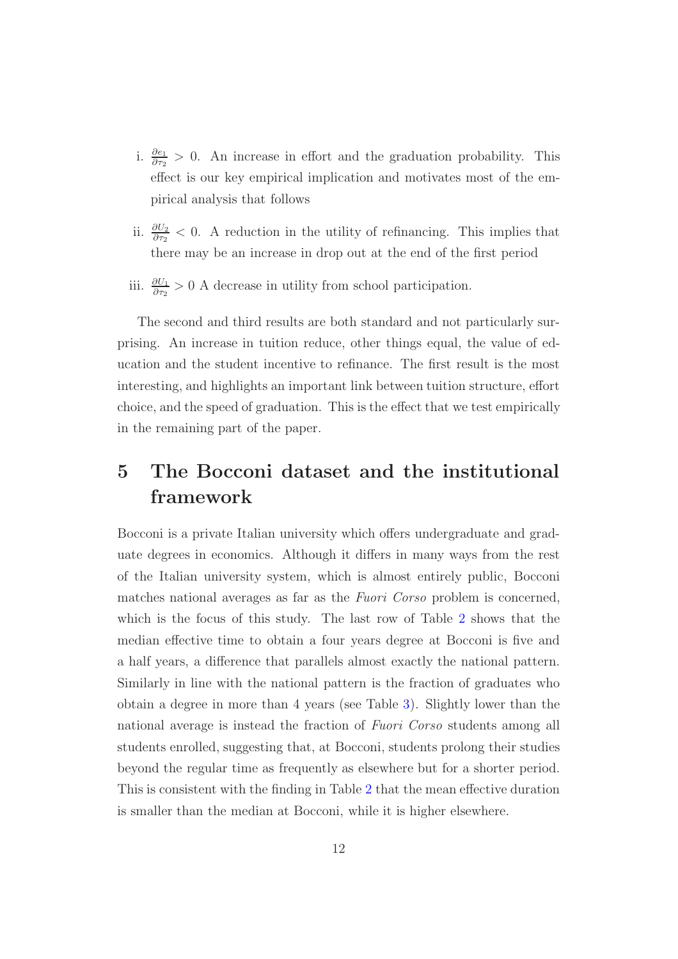- i.  $\frac{\partial e_1}{\partial \tau_2} > 0$ . An increase in effort and the graduation probability. This effect is our key empirical implication and motivates most of the empirical analysis that follows
- ii.  $\frac{\partial U_2}{\partial \tau_2}$  < 0. A reduction in the utility of refinancing. This implies that there may be an increase in drop out at the end of the first period
- iii.  $\frac{\partial U_1}{\partial \tau_2} > 0$  A decrease in utility from school participation.

The second and third results are both standard and not particularly surprising. An increase in tuition reduce, other things equal, the value of education and the student incentive to refinance. The first result is the most interesting, and highlights an important link between tuition structure, effort choice, and the speed of graduation. This is the effect that we test empirically in the remaining part of the paper.

## <span id="page-12-0"></span>**5 The Bocconi dataset and the institutional framework**

Bocconi is a private Italian university which offers undergraduate and graduate degrees in economics. Although it differs in many ways from the rest of the Italian university system, which is almost entirely public, Bocconi matches national averages as far as the *Fuori Corso* problem is concerned, which is the focus of this study. The last row of Table [2](#page-36-0) shows that the median effective time to obtain a four years degree at Bocconi is five and a half years, a difference that parallels almost exactly the national pattern. Similarly in line with the national pattern is the fraction of graduates who obtain a degree in more than 4 years (see Table [3\)](#page-37-0). Slightly lower than the national average is instead the fraction of *Fuori Corso* students among all students enrolled, suggesting that, at Bocconi, students prolong their studies beyond the regular time as frequently as elsewhere but for a shorter period. This is consistent with the finding in Table [2](#page-36-0) that the mean effective duration is smaller than the median at Bocconi, while it is higher elsewhere.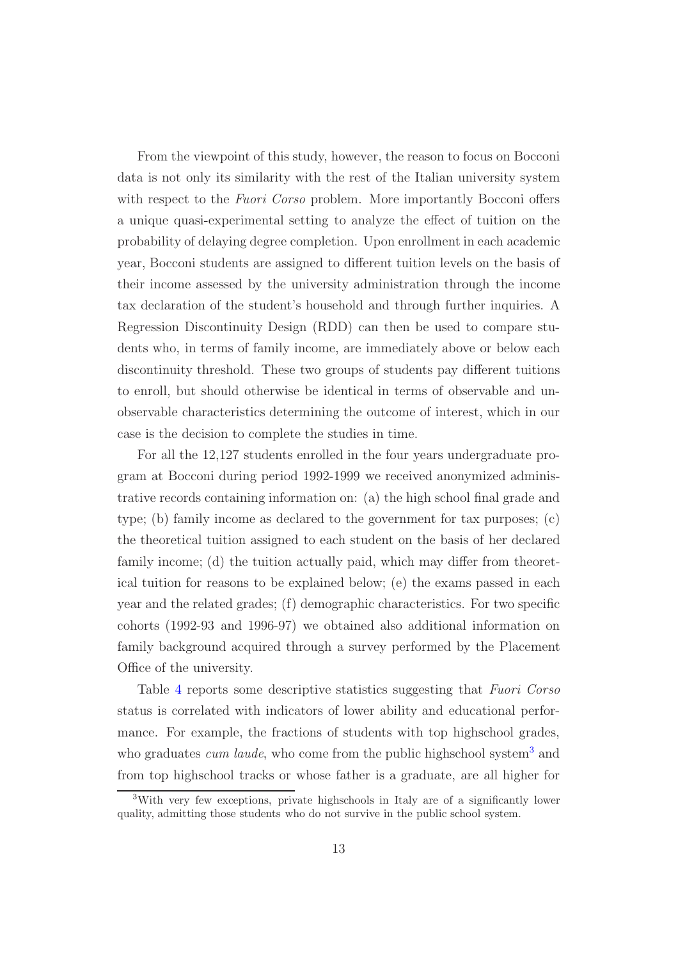From the viewpoint of this study, however, the reason to focus on Bocconi data is not only its similarity with the rest of the Italian university system with respect to the *Fuori Corso* problem. More importantly Bocconi offers a unique quasi-experimental setting to analyze the effect of tuition on the probability of delaying degree completion. Upon enrollment in each academic year, Bocconi students are assigned to different tuition levels on the basis of their income assessed by the university administration through the income tax declaration of the student's household and through further inquiries. A Regression Discontinuity Design (RDD) can then be used to compare students who, in terms of family income, are immediately above or below each discontinuity threshold. These two groups of students pay different tuitions to enroll, but should otherwise be identical in terms of observable and unobservable characteristics determining the outcome of interest, which in our case is the decision to complete the studies in time.

For all the 12,127 students enrolled in the four years undergraduate program at Bocconi during period 1992-1999 we received anonymized administrative records containing information on: (a) the high school final grade and type; (b) family income as declared to the government for tax purposes; (c) the theoretical tuition assigned to each student on the basis of her declared family income; (d) the tuition actually paid, which may differ from theoretical tuition for reasons to be explained below; (e) the exams passed in each year and the related grades; (f) demographic characteristics. For two specific cohorts (1992-93 and 1996-97) we obtained also additional information on family background acquired through a survey performed by the Placement Office of the university.

Table [4](#page-38-0) reports some descriptive statistics suggesting that *Fuori Corso* status is correlated with indicators of lower ability and educational performance. For example, the fractions of students with top highschool grades, who graduates *cum laude*, who come from the public highschool system<sup>[3](#page-13-0)</sup> and from top highschool tracks or whose father is a graduate, are all higher for

<span id="page-13-0"></span><sup>3</sup>With very few exceptions, private highschools in Italy are of a significantly lower quality, admitting those students who do not survive in the public school system.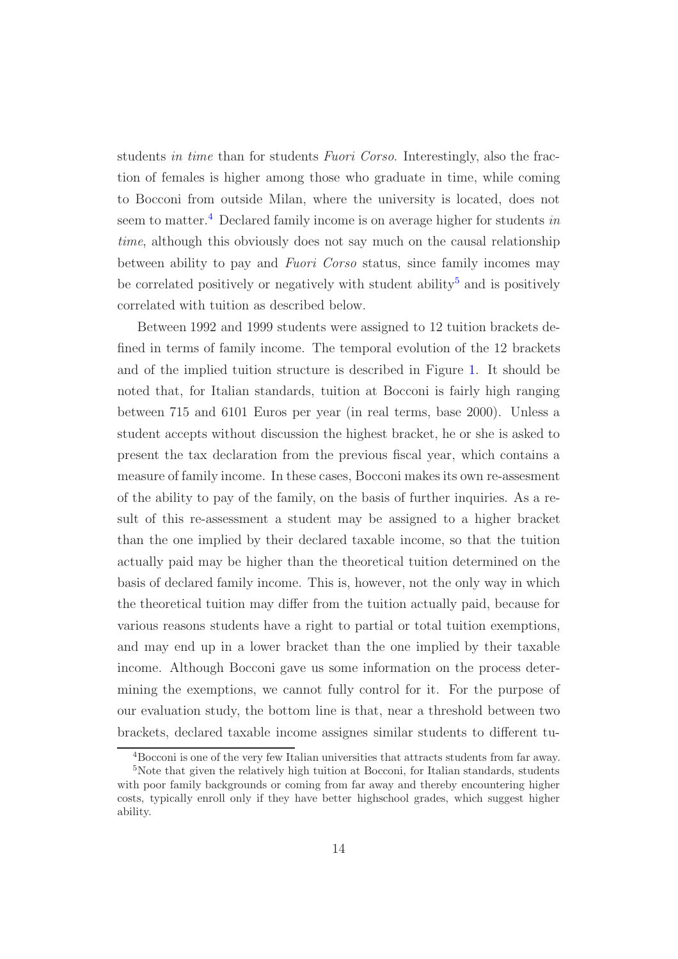students *in time* than for students *Fuori Corso*. Interestingly, also the fraction of females is higher among those who graduate in time, while coming to Bocconi from outside Milan, where the university is located, does not seem to matter.[4](#page-14-1) Declared family income is on average higher for students *in time*, although this obviously does not say much on the causal relationship between ability to pay and *Fuori Corso* status, since family incomes may be correlated positively or negatively with student ability<sup>[5](#page-14-0)</sup> and is positively correlated with tuition as described below.

Between 1992 and 1999 students were assigned to 12 tuition brackets defined in terms of family income. The temporal evolution of the 12 brackets and of the implied tuition structure is described in Figure [1.](#page-39-0) It should be noted that, for Italian standards, tuition at Bocconi is fairly high ranging between 715 and 6101 Euros per year (in real terms, base 2000). Unless a student accepts without discussion the highest bracket, he or she is asked to present the tax declaration from the previous fiscal year, which contains a measure of family income. In these cases, Bocconi makes its own re-assesment of the ability to pay of the family, on the basis of further inquiries. As a result of this re-assessment a student may be assigned to a higher bracket than the one implied by their declared taxable income, so that the tuition actually paid may be higher than the theoretical tuition determined on the basis of declared family income. This is, however, not the only way in which the theoretical tuition may differ from the tuition actually paid, because for various reasons students have a right to partial or total tuition exemptions, and may end up in a lower bracket than the one implied by their taxable income. Although Bocconi gave us some information on the process determining the exemptions, we cannot fully control for it. For the purpose of our evaluation study, the bottom line is that, near a threshold between two brackets, declared taxable income assignes similar students to different tu-

<sup>4</sup>Bocconi is one of the very few Italian universities that attracts students from far away.

<span id="page-14-1"></span><span id="page-14-0"></span><sup>&</sup>lt;sup>5</sup>Note that given the relatively high tuition at Bocconi, for Italian standards, students with poor family backgrounds or coming from far away and thereby encountering higher costs, typically enroll only if they have better highschool grades, which suggest higher ability.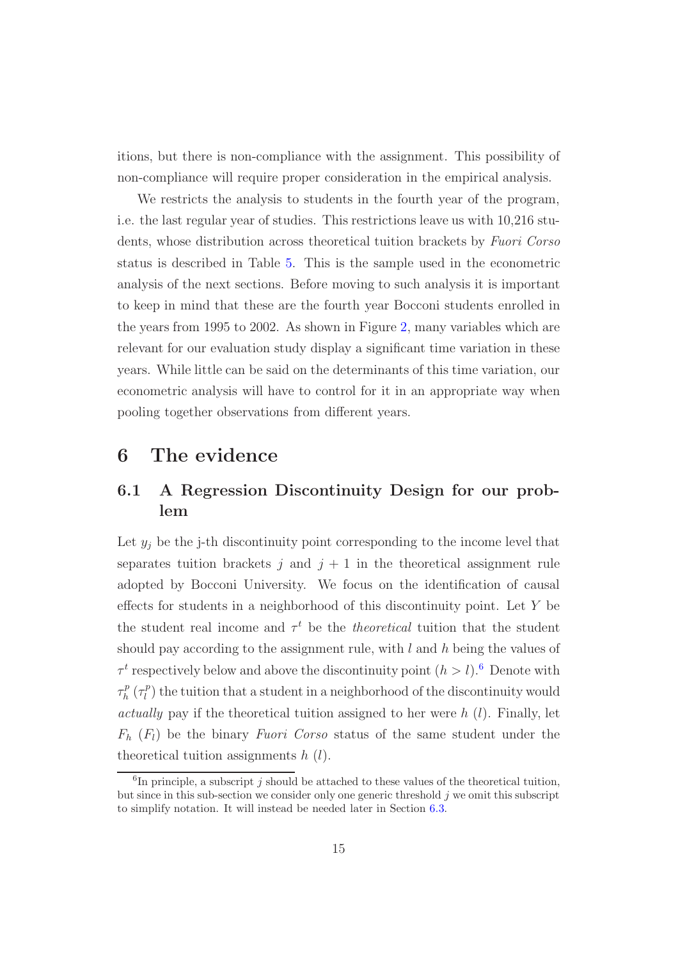itions, but there is non-compliance with the assignment. This possibility of non-compliance will require proper consideration in the empirical analysis.

We restricts the analysis to students in the fourth year of the program, i.e. the last regular year of studies. This restrictions leave us with 10,216 students, whose distribution across theoretical tuition brackets by *Fuori Corso* status is described in Table [5.](#page-40-0) This is the sample used in the econometric analysis of the next sections. Before moving to such analysis it is important to keep in mind that these are the fourth year Bocconi students enrolled in the years from 1995 to 2002. As shown in Figure [2,](#page-41-0) many variables which are relevant for our evaluation study display a significant time variation in these years. While little can be said on the determinants of this time variation, our econometric analysis will have to control for it in an appropriate way when pooling together observations from different years.

### <span id="page-15-2"></span><span id="page-15-0"></span>**6 The evidence**

### **6.1 A Regression Discontinuity Design for our problem**

Let  $y_j$  be the j-th discontinuity point corresponding to the income level that separates tuition brackets j and  $j + 1$  in the theoretical assignment rule adopted by Bocconi University. We focus on the identification of causal effects for students in a neighborhood of this discontinuity point. Let Y be the student real income and  $\tau^t$  be the *theoretical* tuition that the student should pay according to the assignment rule, with l and h being the values of  $\tau^t$  respectively below and above the discontinuity point  $(h>l)$ .<sup>[6](#page-15-1)</sup> Denote with  $\tau_h^p(\tau_l^p)$  the tuition that a student in a neighborhood of the discontinuity would *actually* pay if the theoretical tuition assigned to her were  $h(l)$ . Finally, let  $F_h$   $(F_l)$  be the binary *Fuori Corso* status of the same student under the theoretical tuition assignments  $h(l)$ .

<span id="page-15-1"></span> ${}^{6}$ In principle, a subscript *i* should be attached to these values of the theoretical tuition, but since in this sub-section we consider only one generic threshold  $j$  we omit this subscript to simplify notation. It will instead be needed later in Section [6.3.](#page-21-0)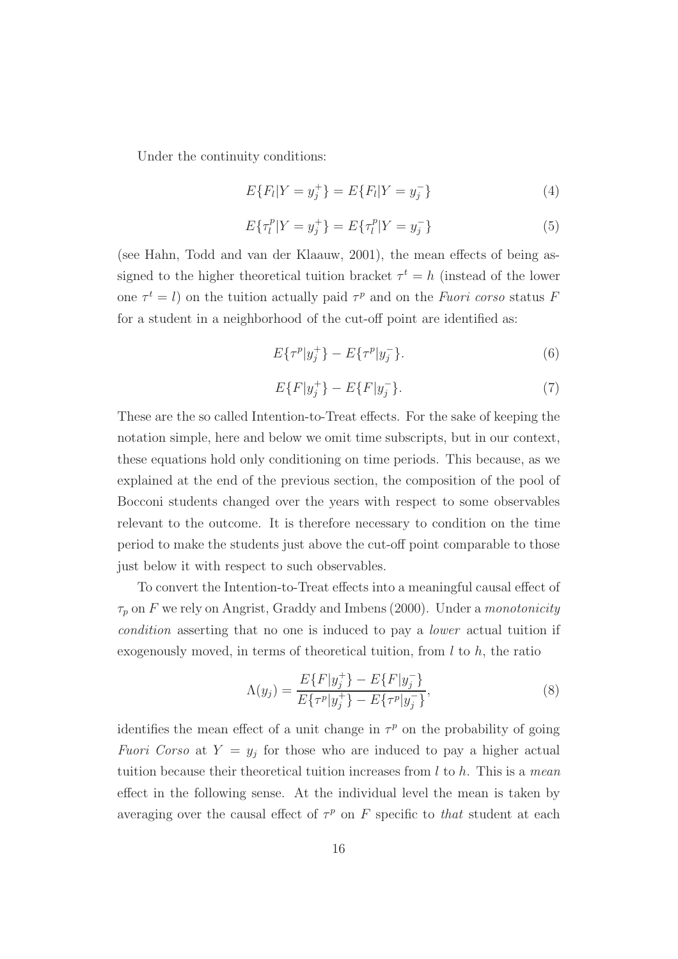<span id="page-16-1"></span>Under the continuity conditions:

$$
E\{F_l|Y=y_j^+\}=E\{F_l|Y=y_j^-\}\tag{4}
$$

$$
E\{\tau_l^p|Y=y_j^+\}=E\{\tau_l^p|Y=y_j^-\}\tag{5}
$$

<span id="page-16-0"></span>(see Hahn, Todd and van der Klaauw, 2001), the mean effects of being assigned to the higher theoretical tuition bracket  $\tau^t = h$  (instead of the lower one  $\tau^t = l$ ) on the tuition actually paid  $\tau^p$  and on the *Fuori corso* status F for a student in a neighborhood of the cut-off point are identified as:

$$
E\{\tau^p|y_j^+\} - E\{\tau^p|y_j^-\}.\tag{6}
$$

$$
E\{F|y_j^+\} - E\{F|y_j^-\}.\tag{7}
$$

These are the so called Intention-to-Treat effects. For the sake of keeping the notation simple, here and below we omit time subscripts, but in our context, these equations hold only conditioning on time periods. This because, as we explained at the end of the previous section, the composition of the pool of Bocconi students changed over the years with respect to some observables relevant to the outcome. It is therefore necessary to condition on the time period to make the students just above the cut-off point comparable to those just below it with respect to such observables.

To convert the Intention-to-Treat effects into a meaningful causal effect of  $\tau_p$  on F we rely on Angrist, Graddy and Imbens (2000). Under a *monotonicity condition* asserting that no one is induced to pay a *lower* actual tuition if exogenously moved, in terms of theoretical tuition, from  $l$  to  $h$ , the ratio

$$
\Lambda(y_j) = \frac{E\{F|y_j^+\} - E\{F|y_j^-\}}{E\{\tau^p|y_j^+\} - E\{\tau^p|y_j^-\}},\tag{8}
$$

<span id="page-16-2"></span>identifies the mean effect of a unit change in  $\tau^p$  on the probability of going *Fuori Corso* at  $Y = y_j$  for those who are induced to pay a higher actual tuition because their theoretical tuition increases from l to h. This is a *mean* effect in the following sense. At the individual level the mean is taken by averaging over the causal effect of  $\tau^p$  on F specific to *that* student at each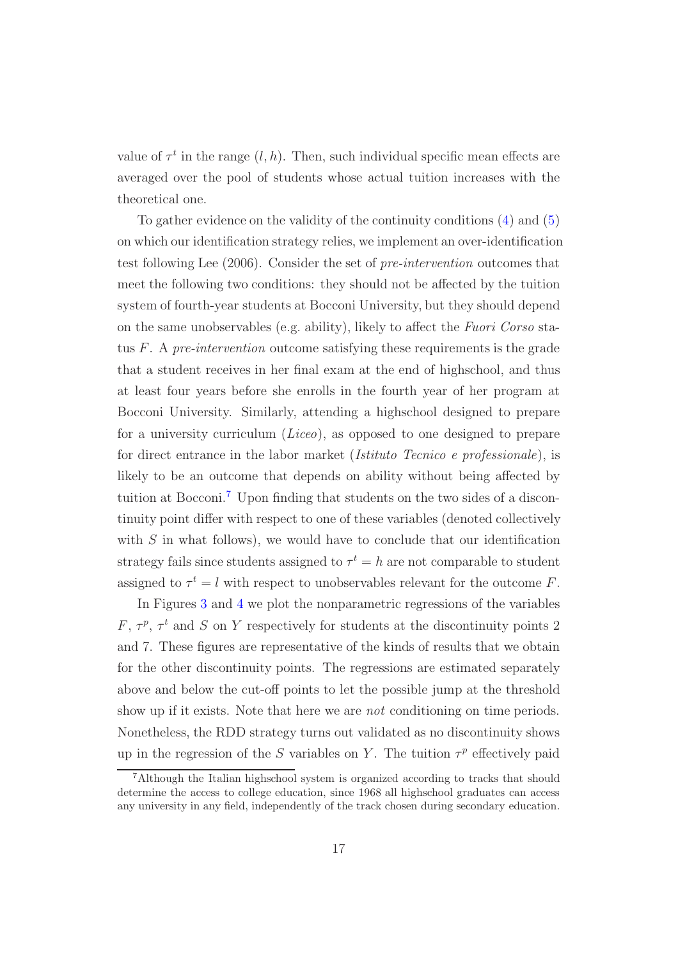value of  $\tau^t$  in the range  $(l, h)$ . Then, such individual specific mean effects are averaged over the pool of students whose actual tuition increases with the theoretical one.

To gather evidence on the validity of the continuity conditions [\(4\)](#page-16-1) and [\(5\)](#page-16-0) on which our identification strategy relies, we implement an over-identification test following Lee (2006). Consider the set of *pre-intervention* outcomes that meet the following two conditions: they should not be affected by the tuition system of fourth-year students at Bocconi University, but they should depend on the same unobservables (e.g. ability), likely to affect the *Fuori Corso* status F. A *pre-intervention* outcome satisfying these requirements is the grade that a student receives in her final exam at the end of highschool, and thus at least four years before she enrolls in the fourth year of her program at Bocconi University. Similarly, attending a highschool designed to prepare for a university curriculum (*Liceo*), as opposed to one designed to prepare for direct entrance in the labor market (*Istituto Tecnico e professionale*), is likely to be an outcome that depends on ability without being affected by tuition at Bocconi.[7](#page-17-0) Upon finding that students on the two sides of a discontinuity point differ with respect to one of these variables (denoted collectively with  $S$  in what follows), we would have to conclude that our identification strategy fails since students assigned to  $\tau^t = h$  are not comparable to student assigned to  $\tau^t = l$  with respect to unobservables relevant for the outcome F.

In Figures [3](#page-42-0) and [4](#page-43-0) we plot the nonparametric regressions of the variables  $F, \tau^p, \tau^t$  and S on Y respectively for students at the discontinuity points 2 and 7. These figures are representative of the kinds of results that we obtain for the other discontinuity points. The regressions are estimated separately above and below the cut-off points to let the possible jump at the threshold show up if it exists. Note that here we are *not* conditioning on time periods. Nonetheless, the RDD strategy turns out validated as no discontinuity shows up in the regression of the S variables on Y. The tuition  $\tau^p$  effectively paid

<span id="page-17-0"></span><sup>7</sup>Although the Italian highschool system is organized according to tracks that should determine the access to college education, since 1968 all highschool graduates can access any university in any field, independently of the track chosen during secondary education.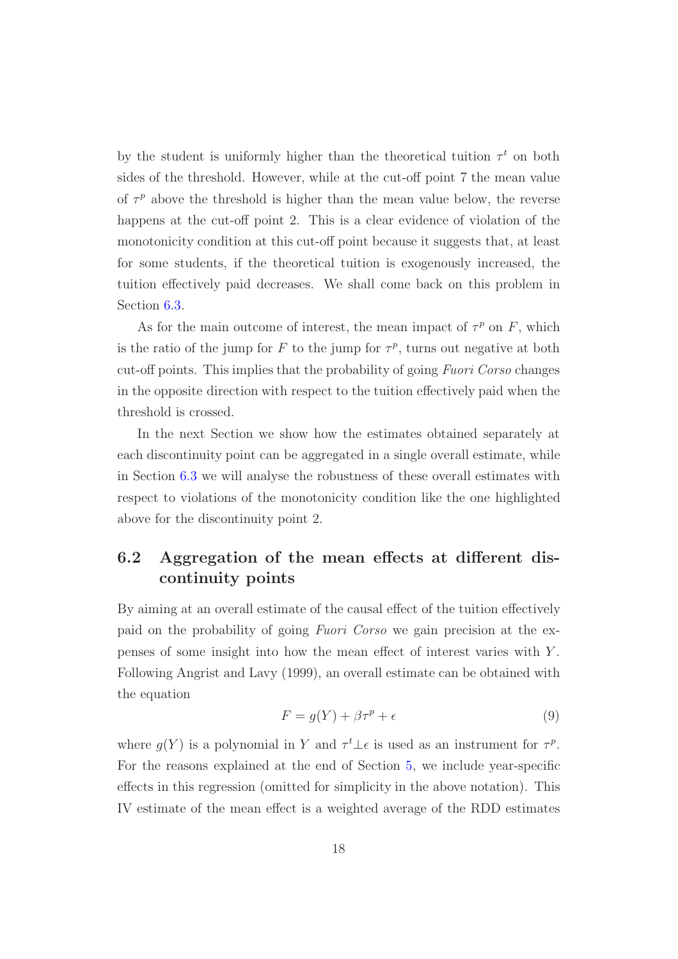by the student is uniformly higher than the theoretical tuition  $\tau^t$  on both sides of the threshold. However, while at the cut-off point 7 the mean value of  $\tau^p$  above the threshold is higher than the mean value below, the reverse happens at the cut-off point 2. This is a clear evidence of violation of the monotonicity condition at this cut-off point because it suggests that, at least for some students, if the theoretical tuition is exogenously increased, the tuition effectively paid decreases. We shall come back on this problem in Section [6.3.](#page-21-0)

As for the main outcome of interest, the mean impact of  $\tau^p$  on F, which is the ratio of the jump for F to the jump for  $\tau^p$ , turns out negative at both cut-off points. This implies that the probability of going *Fuori Corso* changes in the opposite direction with respect to the tuition effectively paid when the threshold is crossed.

In the next Section we show how the estimates obtained separately at each discontinuity point can be aggregated in a single overall estimate, while in Section [6.3](#page-21-0) we will analyse the robustness of these overall estimates with respect to violations of the monotonicity condition like the one highlighted above for the discontinuity point 2.

## **6.2 Aggregation of the mean effects at different discontinuity points**

By aiming at an overall estimate of the causal effect of the tuition effectively paid on the probability of going *Fuori Corso* we gain precision at the expenses of some insight into how the mean effect of interest varies with Y . Following Angrist and Lavy (1999), an overall estimate can be obtained with the equation

<span id="page-18-0"></span>
$$
F = g(Y) + \beta \tau^p + \epsilon \tag{9}
$$

where  $g(Y)$  is a polynomial in Y and  $\tau^t \perp \epsilon$  is used as an instrument for  $\tau^p$ . For the reasons explained at the end of Section [5,](#page-12-0) we include year-specific effects in this regression (omitted for simplicity in the above notation). This IV estimate of the mean effect is a weighted average of the RDD estimates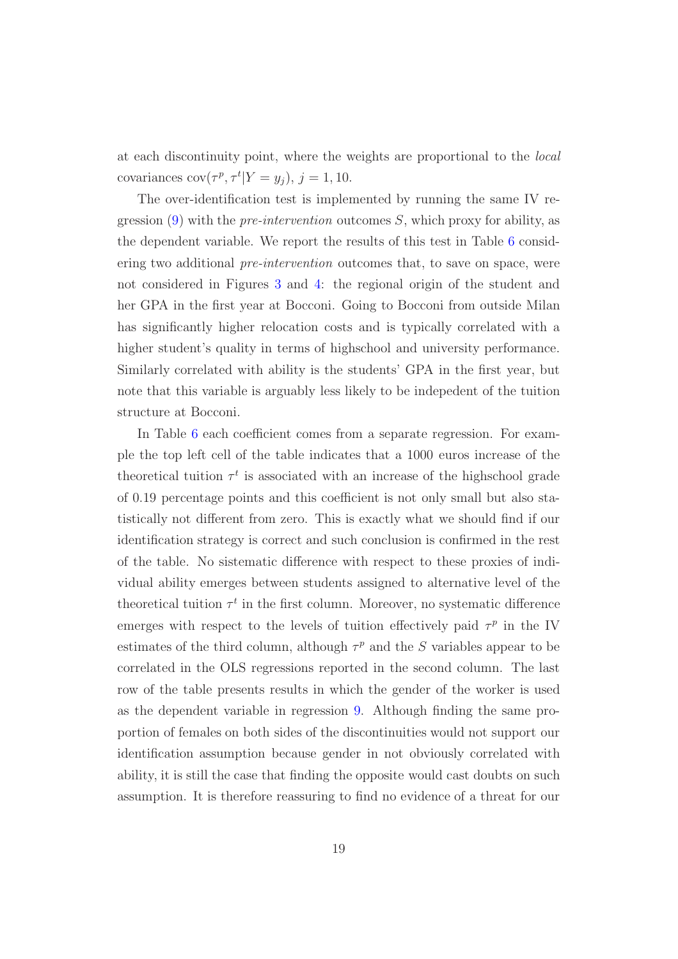at each discontinuity point, where the weights are proportional to the *local* covariances  $cov(\tau^p, \tau^t | Y = y_j), j = 1, 10.$ 

The over-identification test is implemented by running the same IV regression [\(9\)](#page-18-0) with the *pre-intervention* outcomes S, which proxy for ability, as the dependent variable. We report the results of this test in Table [6](#page-44-0) considering two additional *pre-intervention* outcomes that, to save on space, were not considered in Figures [3](#page-42-0) and [4:](#page-43-0) the regional origin of the student and her GPA in the first year at Bocconi. Going to Bocconi from outside Milan has significantly higher relocation costs and is typically correlated with a higher student's quality in terms of highschool and university performance. Similarly correlated with ability is the students' GPA in the first year, but note that this variable is arguably less likely to be indepedent of the tuition structure at Bocconi.

In Table [6](#page-44-0) each coefficient comes from a separate regression. For example the top left cell of the table indicates that a 1000 euros increase of the theoretical tuition  $\tau^t$  is associated with an increase of the highschool grade of 0.19 percentage points and this coefficient is not only small but also statistically not different from zero. This is exactly what we should find if our identification strategy is correct and such conclusion is confirmed in the rest of the table. No sistematic difference with respect to these proxies of individual ability emerges between students assigned to alternative level of the theoretical tuition  $\tau^t$  in the first column. Moreover, no systematic difference emerges with respect to the levels of tuition effectively paid  $\tau^p$  in the IV estimates of the third column, although  $\tau^p$  and the S variables appear to be correlated in the OLS regressions reported in the second column. The last row of the table presents results in which the gender of the worker is used as the dependent variable in regression [9.](#page-18-0) Although finding the same proportion of females on both sides of the discontinuities would not support our identification assumption because gender in not obviously correlated with ability, it is still the case that finding the opposite would cast doubts on such assumption. It is therefore reassuring to find no evidence of a threat for our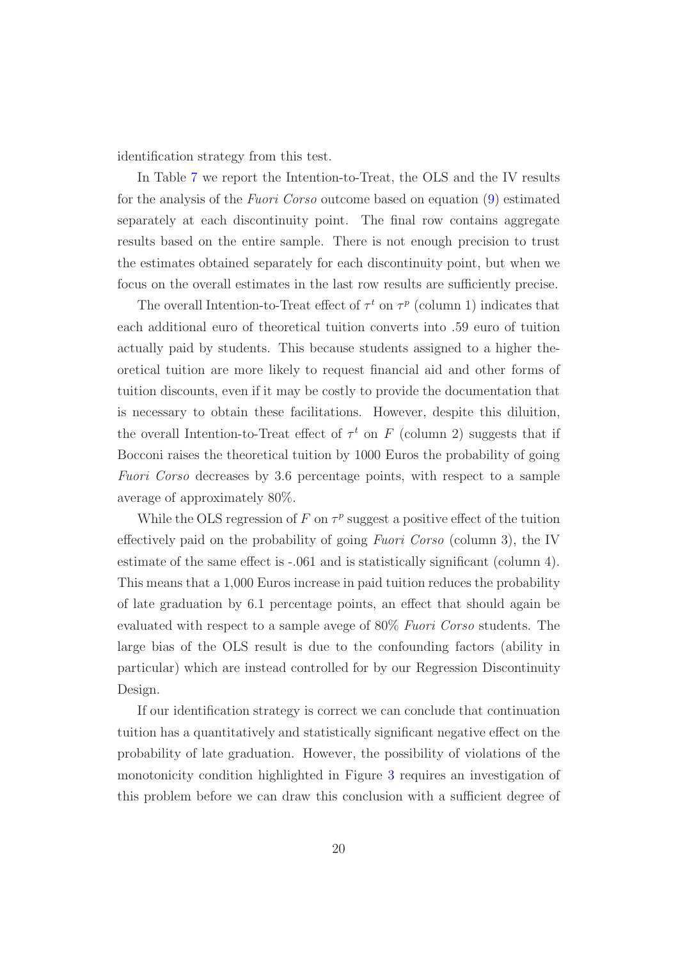identification strategy from this test.

In Table [7](#page-45-0) we report the Intention-to-Treat, the OLS and the IV results for the analysis of the *Fuori Corso* outcome based on equation [\(9\)](#page-18-0) estimated separately at each discontinuity point. The final row contains aggregate results based on the entire sample. There is not enough precision to trust the estimates obtained separately for each discontinuity point, but when we focus on the overall estimates in the last row results are sufficiently precise.

The overall Intention-to-Treat effect of  $\tau^t$  on  $\tau^p$  (column 1) indicates that each additional euro of theoretical tuition converts into .59 euro of tuition actually paid by students. This because students assigned to a higher theoretical tuition are more likely to request financial aid and other forms of tuition discounts, even if it may be costly to provide the documentation that is necessary to obtain these facilitations. However, despite this diluition, the overall Intention-to-Treat effect of  $\tau^t$  on F (column 2) suggests that if Bocconi raises the theoretical tuition by 1000 Euros the probability of going *Fuori Corso* decreases by 3.6 percentage points, with respect to a sample average of approximately 80%.

While the OLS regression of F on  $\tau^p$  suggest a positive effect of the tuition effectively paid on the probability of going *Fuori Corso* (column 3), the IV estimate of the same effect is -.061 and is statistically significant (column 4). This means that a 1,000 Euros increase in paid tuition reduces the probability of late graduation by 6.1 percentage points, an effect that should again be evaluated with respect to a sample avege of 80% *Fuori Corso* students. The large bias of the OLS result is due to the confounding factors (ability in particular) which are instead controlled for by our Regression Discontinuity Design.

If our identification strategy is correct we can conclude that continuation tuition has a quantitatively and statistically significant negative effect on the probability of late graduation. However, the possibility of violations of the monotonicity condition highlighted in Figure [3](#page-42-0) requires an investigation of this problem before we can draw this conclusion with a sufficient degree of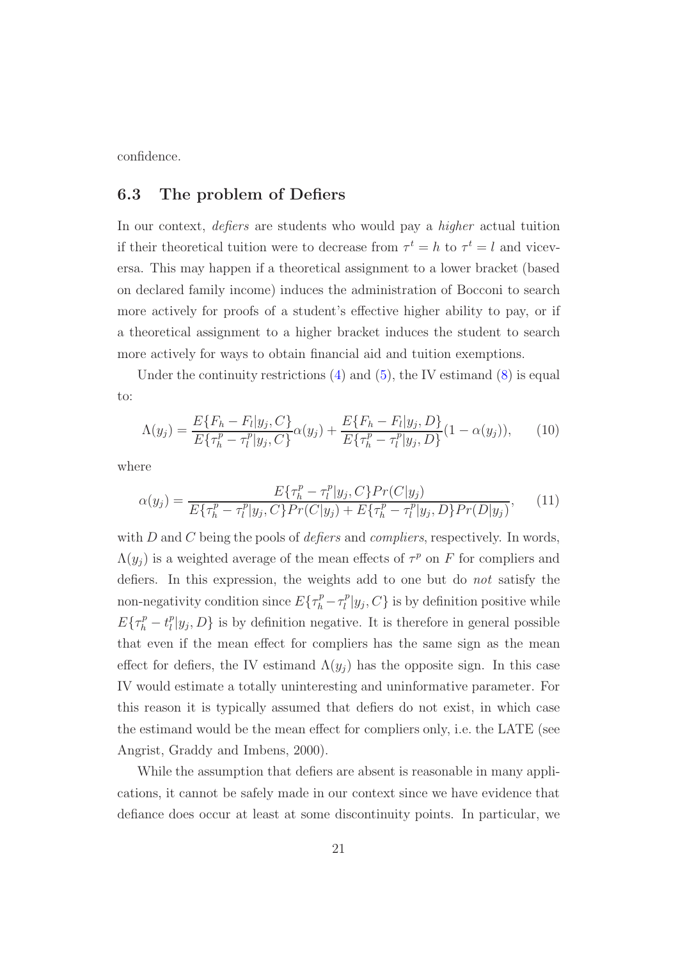<span id="page-21-0"></span>confidence.

#### **6.3 The problem of Defiers**

In our context, *defiers* are students who would pay a *higher* actual tuition if their theoretical tuition were to decrease from  $\tau^t = h$  to  $\tau^t = l$  and viceversa. This may happen if a theoretical assignment to a lower bracket (based on declared family income) induces the administration of Bocconi to search more actively for proofs of a student's effective higher ability to pay, or if a theoretical assignment to a higher bracket induces the student to search more actively for ways to obtain financial aid and tuition exemptions.

Under the continuity restrictions  $(4)$  and  $(5)$ , the IV estimand  $(8)$  is equal to:

$$
\Lambda(y_j) = \frac{E\{F_h - F_l|y_j, C\}}{E\{\tau_h^p - \tau_l^p|y_j, C\}} \alpha(y_j) + \frac{E\{F_h - F_l|y_j, D\}}{E\{\tau_h^p - \tau_l^p|y_j, D\}} (1 - \alpha(y_j)),
$$
 (10)

<span id="page-21-2"></span><span id="page-21-1"></span>where

$$
\alpha(y_j) = \frac{E\{\tau_h^p - \tau_l^p|y_j, C\}Pr(C|y_j)}{E\{\tau_h^p - \tau_l^p|y_j, C\}Pr(C|y_j) + E\{\tau_h^p - \tau_l^p|y_j, D\}Pr(D|y_j)},\tag{11}
$$

with D and C being the pools of *defiers* and *compliers*, respectively. In words,  $\Lambda(y_j)$  is a weighted average of the mean effects of  $\tau^p$  on F for compliers and defiers. In this expression, the weights add to one but do *not* satisfy the non-negativity condition since  $E\{\tau_h^p - \tau_l^p | y_j, C\}$  is by definition positive while  $E{\tau_h^p - t_l^p |y_j, D}$  is by definition negative. It is therefore in general possible that even if the mean effect for compliers has the same sign as the mean effect for defiers, the IV estimand  $\Lambda(y_i)$  has the opposite sign. In this case IV would estimate a totally uninteresting and uninformative parameter. For this reason it is typically assumed that defiers do not exist, in which case the estimand would be the mean effect for compliers only, i.e. the LATE (see Angrist, Graddy and Imbens, 2000).

While the assumption that defiers are absent is reasonable in many applications, it cannot be safely made in our context since we have evidence that defiance does occur at least at some discontinuity points. In particular, we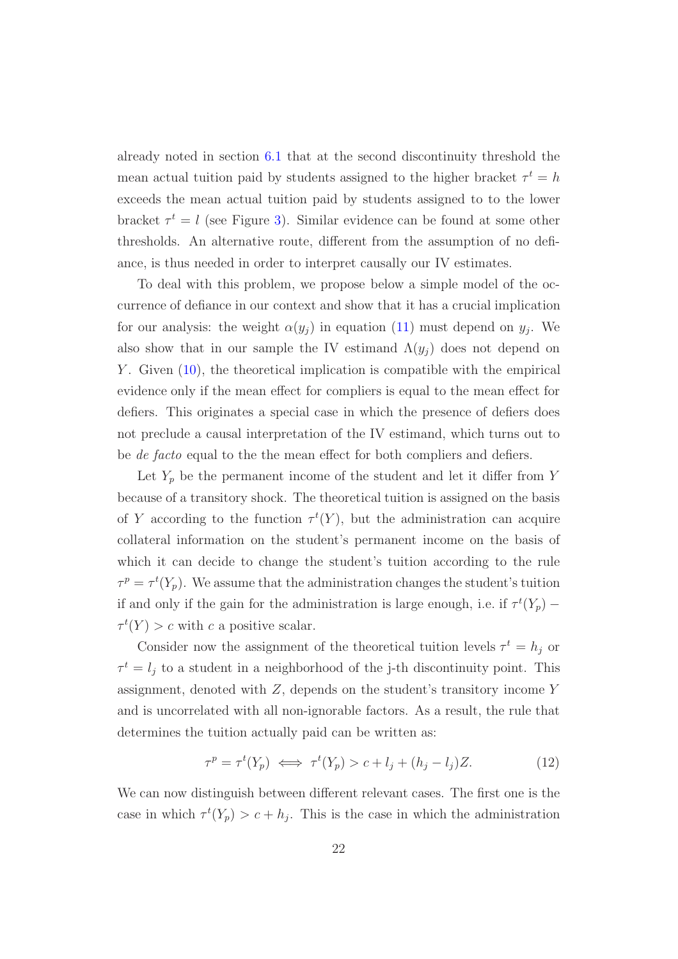already noted in section [6.1](#page-15-2) that at the second discontinuity threshold the mean actual tuition paid by students assigned to the higher bracket  $\tau^t = h$ exceeds the mean actual tuition paid by students assigned to to the lower bracket  $\tau^t = l$  (see Figure [3\)](#page-42-0). Similar evidence can be found at some other thresholds. An alternative route, different from the assumption of no defiance, is thus needed in order to interpret causally our IV estimates.

To deal with this problem, we propose below a simple model of the occurrence of defiance in our context and show that it has a crucial implication for our analysis: the weight  $\alpha(y_j)$  in equation [\(11\)](#page-21-2) must depend on  $y_j$ . We also show that in our sample the IV estimand  $\Lambda(y_i)$  does not depend on Y. Given  $(10)$ , the theoretical implication is compatible with the empirical evidence only if the mean effect for compliers is equal to the mean effect for defiers. This originates a special case in which the presence of defiers does not preclude a causal interpretation of the IV estimand, which turns out to be *de facto* equal to the the mean effect for both compliers and defiers.

Let  $Y_p$  be the permanent income of the student and let it differ from Y because of a transitory shock. The theoretical tuition is assigned on the basis of Y according to the function  $\tau^t(Y)$ , but the administration can acquire collateral information on the student's permanent income on the basis of which it can decide to change the student's tuition according to the rule  $\tau^p = \tau^t(Y_p)$ . We assume that the administration changes the student's tuition if and only if the gain for the administration is large enough, i.e. if  $\tau^t(Y_p)$  –  $\tau^t(Y) > c$  with c a positive scalar.

Consider now the assignment of the theoretical tuition levels  $\tau^t = h_j$  or  $\tau^t = l_j$  to a student in a neighborhood of the j-th discontinuity point. This assignment, denoted with Z, depends on the student's transitory income Y and is uncorrelated with all non-ignorable factors. As a result, the rule that determines the tuition actually paid can be written as:

$$
\tau^p = \tau^t(Y_p) \iff \tau^t(Y_p) > c + l_j + (h_j - l_j)Z. \tag{12}
$$

We can now distinguish between different relevant cases. The first one is the case in which  $\tau^t(Y_p) > c + h_j$ . This is the case in which the administration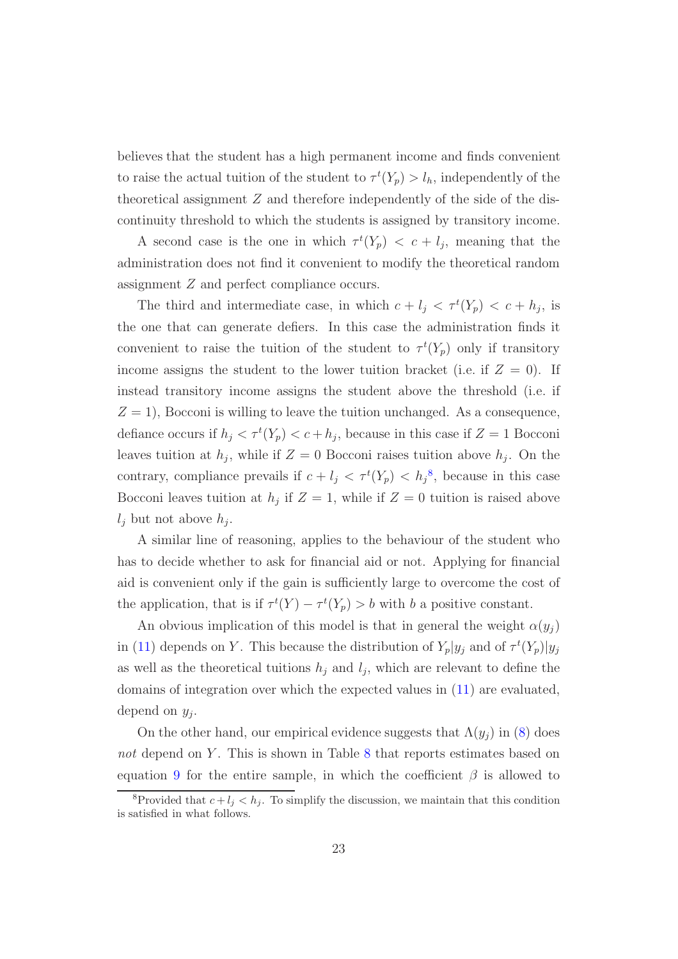believes that the student has a high permanent income and finds convenient to raise the actual tuition of the student to  $\tau^t(Y_p) > l_h$ , independently of the theoretical assignment  $Z$  and therefore independently of the side of the discontinuity threshold to which the students is assigned by transitory income.

A second case is the one in which  $\tau^t(Y_p) < c + l_j$ , meaning that the administration does not find it convenient to modify the theoretical random assignment Z and perfect compliance occurs.

The third and intermediate case, in which  $c + l_j < \tau^t(Y_p) < c + h_j$ , is the one that can generate defiers. In this case the administration finds it convenient to raise the tuition of the student to  $\tau^t(Y_p)$  only if transitory income assigns the student to the lower tuition bracket (i.e. if  $Z = 0$ ). If instead transitory income assigns the student above the threshold (i.e. if  $Z = 1$ , Bocconi is willing to leave the tuition unchanged. As a consequence, defiance occurs if  $h_j < \tau^t(Y_p) < c + h_j$ , because in this case if  $Z = 1$  Bocconi leaves tuition at  $h_j$ , while if  $Z = 0$  Bocconi raises tuition above  $h_j$ . On the contrary, compliance prevails if  $c + l_j < \tau^t(Y_p) < h_j^s$ , because in this case Bocconi leaves tuition at  $h_j$  if  $Z = 1$ , while if  $Z = 0$  tuition is raised above  $l_i$  but not above  $h_i$ .

A similar line of reasoning, applies to the behaviour of the student who has to decide whether to ask for financial aid or not. Applying for financial aid is convenient only if the gain is sufficiently large to overcome the cost of the application, that is if  $\tau^t(Y) - \tau^t(Y_p) > b$  with b a positive constant.

An obvious implication of this model is that in general the weight  $\alpha(y_j)$ in [\(11\)](#page-21-2) depends on Y. This because the distribution of  $Y_p|y_j$  and of  $\tau^t(Y_p)|y_j$ as well as the theoretical tuitions  $h_j$  and  $l_j$ , which are relevant to define the domains of integration over which the expected values in [\(11\)](#page-21-2) are evaluated, depend on  $y_i$ .

On the other hand, our empirical evidence suggests that  $\Lambda(y_i)$  in [\(8\)](#page-16-2) does *not* depend on Y. This is shown in Table [8](#page-46-0) that reports estimates based on equation [9](#page-18-0) for the entire sample, in which the coefficient  $\beta$  is allowed to

<span id="page-23-0"></span><sup>&</sup>lt;sup>8</sup>Provided that  $c + l_j < h_j$ . To simplify the discussion, we maintain that this condition is satisfied in what follows.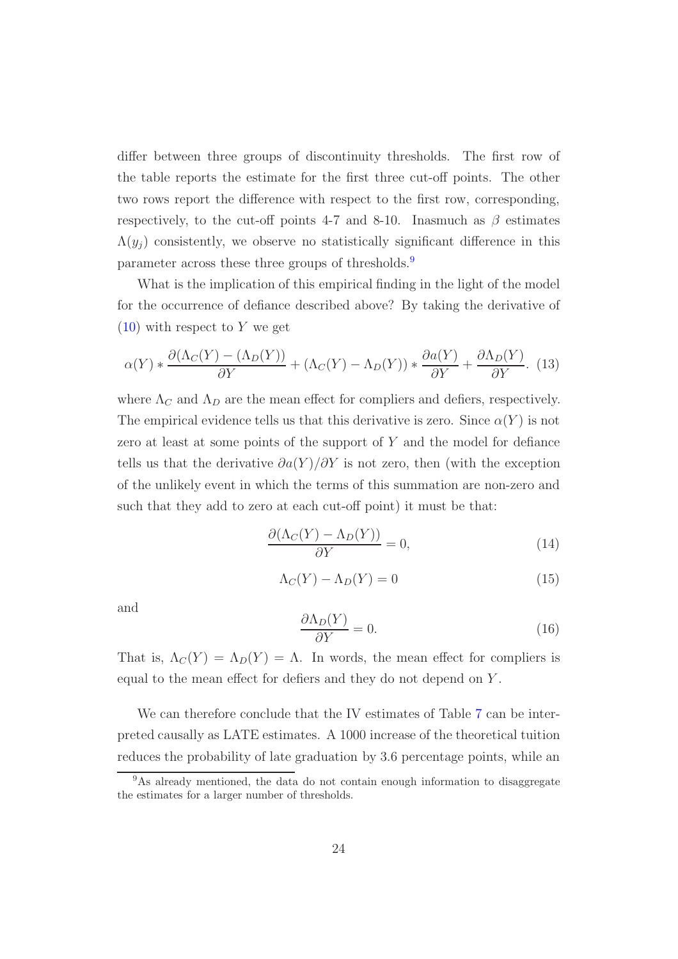differ between three groups of discontinuity thresholds. The first row of the table reports the estimate for the first three cut-off points. The other two rows report the difference with respect to the first row, corresponding, respectively, to the cut-off points 4-7 and 8-10. Inasmuch as  $\beta$  estimates  $\Lambda(y_i)$  consistently, we observe no statistically significant difference in this parameter across these three groups of thresholds.[9](#page-24-0)

What is the implication of this empirical finding in the light of the model for the occurrence of defiance described above? By taking the derivative of  $(10)$  with respect to Y we get

$$
\alpha(Y) * \frac{\partial(\Lambda_C(Y) - (\Lambda_D(Y))}{\partial Y} + (\Lambda_C(Y) - \Lambda_D(Y)) * \frac{\partial a(Y)}{\partial Y} + \frac{\partial \Lambda_D(Y)}{\partial Y}.
$$
 (13)

where  $\Lambda_C$  and  $\Lambda_D$  are the mean effect for compliers and defiers, respectively. The empirical evidence tells us that this derivative is zero. Since  $\alpha(Y)$  is not zero at least at some points of the support of  $Y$  and the model for defiance tells us that the derivative  $\partial a(Y)/\partial Y$  is not zero, then (with the exception of the unlikely event in which the terms of this summation are non-zero and such that they add to zero at each cut-off point) it must be that:

$$
\frac{\partial(\Lambda_C(Y) - \Lambda_D(Y))}{\partial Y} = 0,\t(14)
$$

$$
\Lambda_C(Y) - \Lambda_D(Y) = 0 \tag{15}
$$

and

$$
\frac{\partial \Lambda_D(Y)}{\partial Y} = 0.
$$
\n(16)

That is,  $\Lambda_C(Y) = \Lambda_D(Y) = \Lambda$ . In words, the mean effect for compliers is equal to the mean effect for defiers and they do not depend on Y .

We can therefore conclude that the IV estimates of Table [7](#page-45-0) can be interpreted causally as LATE estimates. A 1000 increase of the theoretical tuition reduces the probability of late graduation by 3.6 percentage points, while an

<span id="page-24-0"></span><sup>&</sup>lt;sup>9</sup>As already mentioned, the data do not contain enough information to disaggregate the estimates for a larger number of thresholds.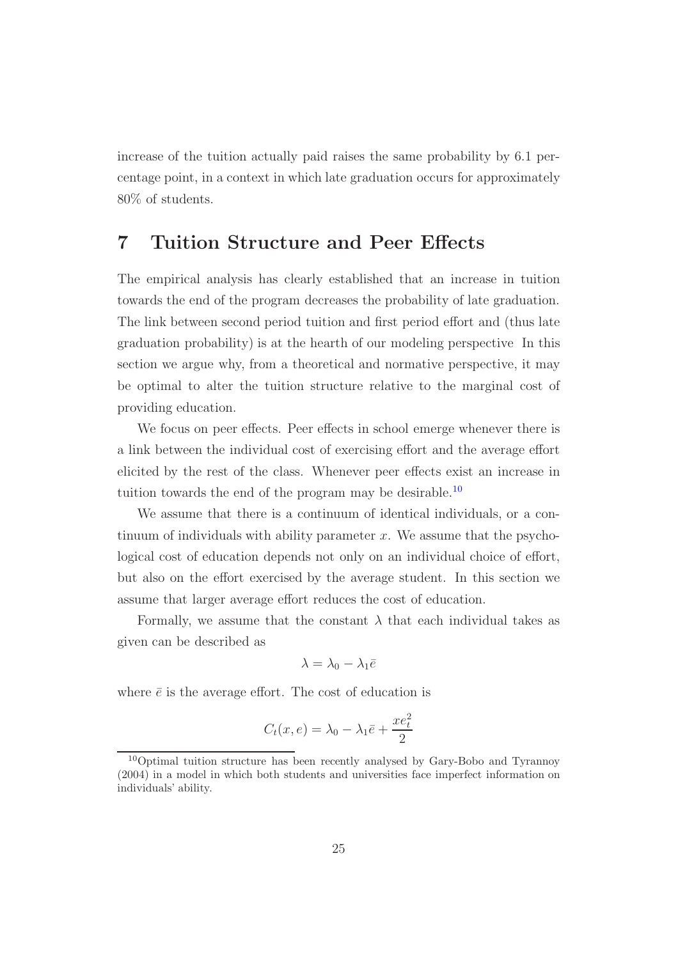increase of the tuition actually paid raises the same probability by 6.1 percentage point, in a context in which late graduation occurs for approximately 80% of students.

### <span id="page-25-0"></span>**7 Tuition Structure and Peer Effects**

The empirical analysis has clearly established that an increase in tuition towards the end of the program decreases the probability of late graduation. The link between second period tuition and first period effort and (thus late graduation probability) is at the hearth of our modeling perspective In this section we argue why, from a theoretical and normative perspective, it may be optimal to alter the tuition structure relative to the marginal cost of providing education.

We focus on peer effects. Peer effects in school emerge whenever there is a link between the individual cost of exercising effort and the average effort elicited by the rest of the class. Whenever peer effects exist an increase in tuition towards the end of the program may be desirable.<sup>[10](#page-25-1)</sup>

We assume that there is a continuum of identical individuals, or a continuum of individuals with ability parameter  $x$ . We assume that the psychological cost of education depends not only on an individual choice of effort, but also on the effort exercised by the average student. In this section we assume that larger average effort reduces the cost of education.

Formally, we assume that the constant  $\lambda$  that each individual takes as given can be described as

$$
\lambda=\lambda_0-\lambda_1\bar{e}
$$

where  $\bar{e}$  is the average effort. The cost of education is

$$
C_t(x, e) = \lambda_0 - \lambda_1 \bar{e} + \frac{x e_t^2}{2}
$$

<span id="page-25-1"></span><sup>10</sup>Optimal tuition structure has been recently analysed by Gary-Bobo and Tyrannoy (2004) in a model in which both students and universities face imperfect information on individuals' ability.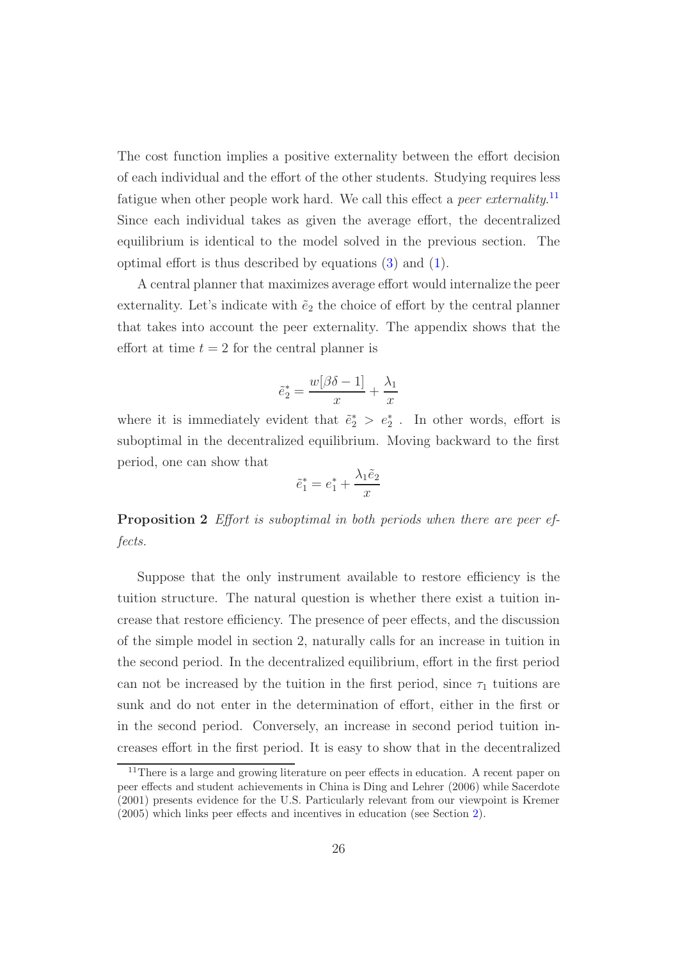The cost function implies a positive externality between the effort decision of each individual and the effort of the other students. Studying requires less fatigue when other people work hard. We call this effect a *peer externality*. [11](#page-26-0) Since each individual takes as given the average effort, the decentralized equilibrium is identical to the model solved in the previous section. The optimal effort is thus described by equations [\(3\)](#page-11-1) and [\(1\)](#page-10-0).

A central planner that maximizes average effort would internalize the peer externality. Let's indicate with  $\tilde{e}_2$  the choice of effort by the central planner that takes into account the peer externality. The appendix shows that the effort at time  $t = 2$  for the central planner is

$$
\tilde{e}_2^* = \frac{w[\beta \delta - 1]}{x} + \frac{\lambda_1}{x}
$$

where it is immediately evident that  $\tilde{e}_2^* > e_2^*$ . In other words, effort is suboptimal in the decentralized equilibrium. Moving backward to the first period, one can show that

$$
\tilde{e}_1^* = e_1^* + \frac{\lambda_1 \tilde{e}_2}{x}
$$

**Proposition 2** *Effort is suboptimal in both periods when there are peer effects.*

Suppose that the only instrument available to restore efficiency is the tuition structure. The natural question is whether there exist a tuition increase that restore efficiency. The presence of peer effects, and the discussion of the simple model in section 2, naturally calls for an increase in tuition in the second period. In the decentralized equilibrium, effort in the first period can not be increased by the tuition in the first period, since  $\tau_1$  tuitions are sunk and do not enter in the determination of effort, either in the first or in the second period. Conversely, an increase in second period tuition increases effort in the first period. It is easy to show that in the decentralized

<span id="page-26-0"></span><sup>&</sup>lt;sup>11</sup>There is a large and growing literature on peer effects in education. A recent paper on peer effects and student achievements in China is Ding and Lehrer (2006) while Sacerdote (2001) presents evidence for the U.S. Particularly relevant from our viewpoint is Kremer (2005) which links peer effects and incentives in education (see Section [2\)](#page-3-0).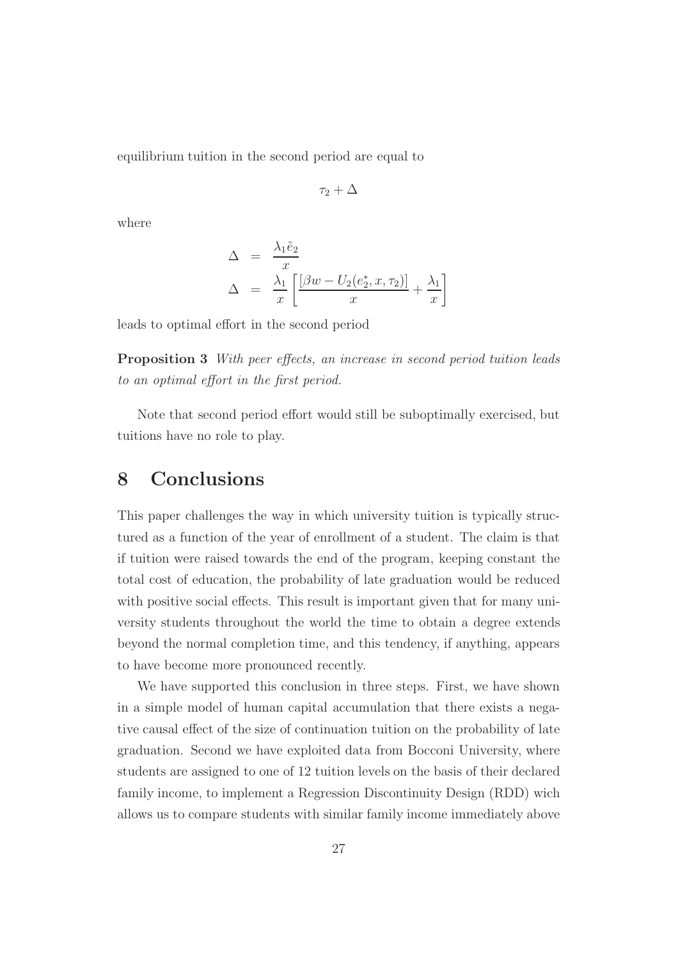equilibrium tuition in the second period are equal to

$$
\tau_2+\Delta
$$

where

$$
\Delta = \frac{\lambda_1 \tilde{e}_2}{x}
$$
  

$$
\Delta = \frac{\lambda_1}{x} \left[ \frac{[\beta w - U_2(e_2^*, x, \tau_2)]}{x} + \frac{\lambda_1}{x} \right]
$$

leads to optimal effort in the second period

**Proposition 3** *With peer effects, an increase in second period tuition leads to an optimal effort in the first period.*

Note that second period effort would still be suboptimally exercised, but tuitions have no role to play.

## <span id="page-27-0"></span>**8 Conclusions**

This paper challenges the way in which university tuition is typically structured as a function of the year of enrollment of a student. The claim is that if tuition were raised towards the end of the program, keeping constant the total cost of education, the probability of late graduation would be reduced with positive social effects. This result is important given that for many university students throughout the world the time to obtain a degree extends beyond the normal completion time, and this tendency, if anything, appears to have become more pronounced recently.

We have supported this conclusion in three steps. First, we have shown in a simple model of human capital accumulation that there exists a negative causal effect of the size of continuation tuition on the probability of late graduation. Second we have exploited data from Bocconi University, where students are assigned to one of 12 tuition levels on the basis of their declared family income, to implement a Regression Discontinuity Design (RDD) wich allows us to compare students with similar family income immediately above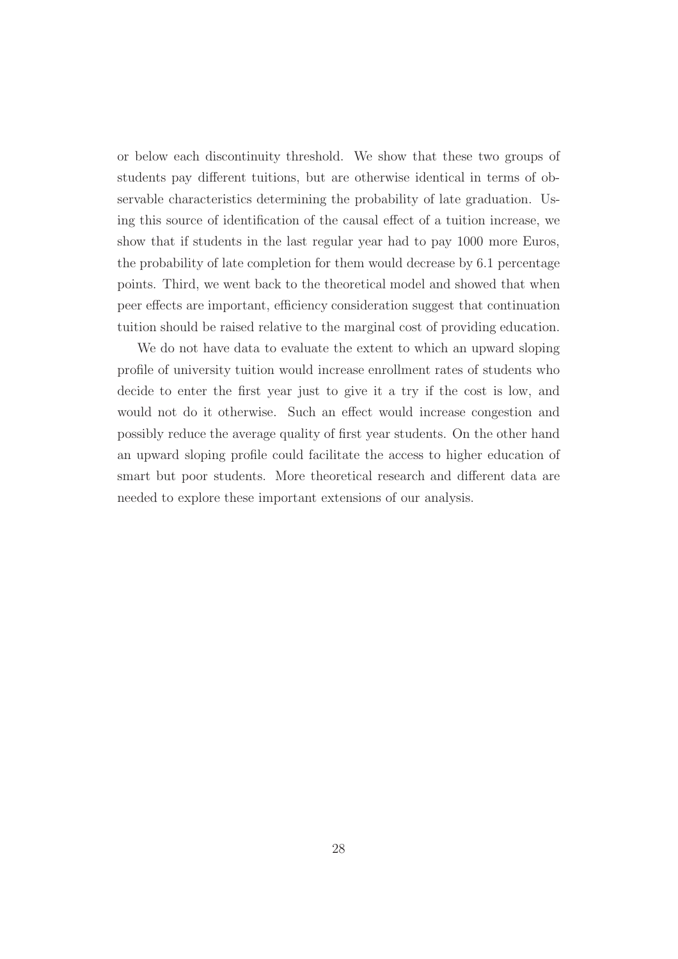or below each discontinuity threshold. We show that these two groups of students pay different tuitions, but are otherwise identical in terms of observable characteristics determining the probability of late graduation. Using this source of identification of the causal effect of a tuition increase, we show that if students in the last regular year had to pay 1000 more Euros, the probability of late completion for them would decrease by 6.1 percentage points. Third, we went back to the theoretical model and showed that when peer effects are important, efficiency consideration suggest that continuation tuition should be raised relative to the marginal cost of providing education.

We do not have data to evaluate the extent to which an upward sloping profile of university tuition would increase enrollment rates of students who decide to enter the first year just to give it a try if the cost is low, and would not do it otherwise. Such an effect would increase congestion and possibly reduce the average quality of first year students. On the other hand an upward sloping profile could facilitate the access to higher education of smart but poor students. More theoretical research and different data are needed to explore these important extensions of our analysis.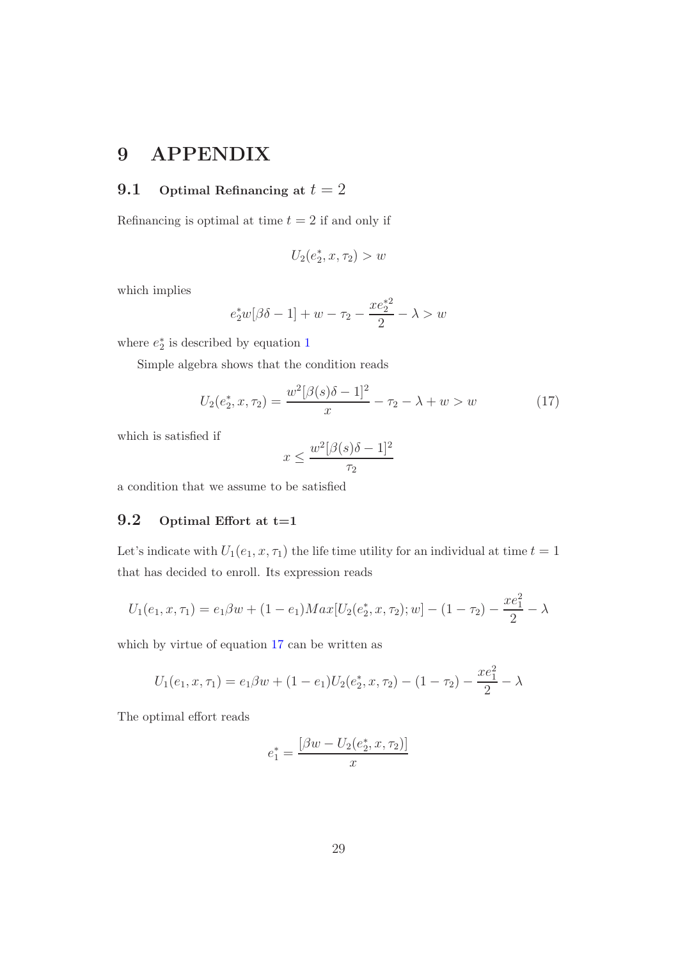## **9 APPENDIX**

#### **9.1 Optimal Refinancing at**  $t = 2$

Refinancing is optimal at time  $t = 2$  if and only if

$$
U_2(e_2^*, x, \tau_2) > w
$$

which implies

$$
e_2^*w[\beta\delta - 1] + w - \tau_2 - \frac{xe_2^{*2}}{2} - \lambda > w
$$

where  $e_2^*$  is described by equation [1](#page-10-0)

<span id="page-29-0"></span>Simple algebra shows that the condition reads

$$
U_2(e_2^*, x, \tau_2) = \frac{w^2[\beta(s)\delta - 1]^2}{x} - \tau_2 - \lambda + w > w \tag{17}
$$

which is satisfied if

$$
x \le \frac{w^2[\beta(s)\delta - 1]^2}{\tau_2}
$$

a condition that we assume to be satisfied

#### **9.2 Optimal Effort at t=1**

Let's indicate with  $U_1(e_1, x, \tau_1)$  the life time utility for an individual at time  $t = 1$ that has decided to enroll. Its expression reads

$$
U_1(e_1, x, \tau_1) = e_1 \beta w + (1 - e_1) Max[U_2(e_2^*, x, \tau_2); w] - (1 - \tau_2) - \frac{xe_1^2}{2} - \lambda
$$

which by virtue of equation [17](#page-29-0) can be written as

$$
U_1(e_1, x, \tau_1) = e_1 \beta w + (1 - e_1) U_2(e_2^*, x, \tau_2) - (1 - \tau_2) - \frac{x e_1^2}{2} - \lambda
$$

The optimal effort reads

$$
e_1^* = \frac{[\beta w - U_2(e_2^*, x, \tau_2)]}{x}
$$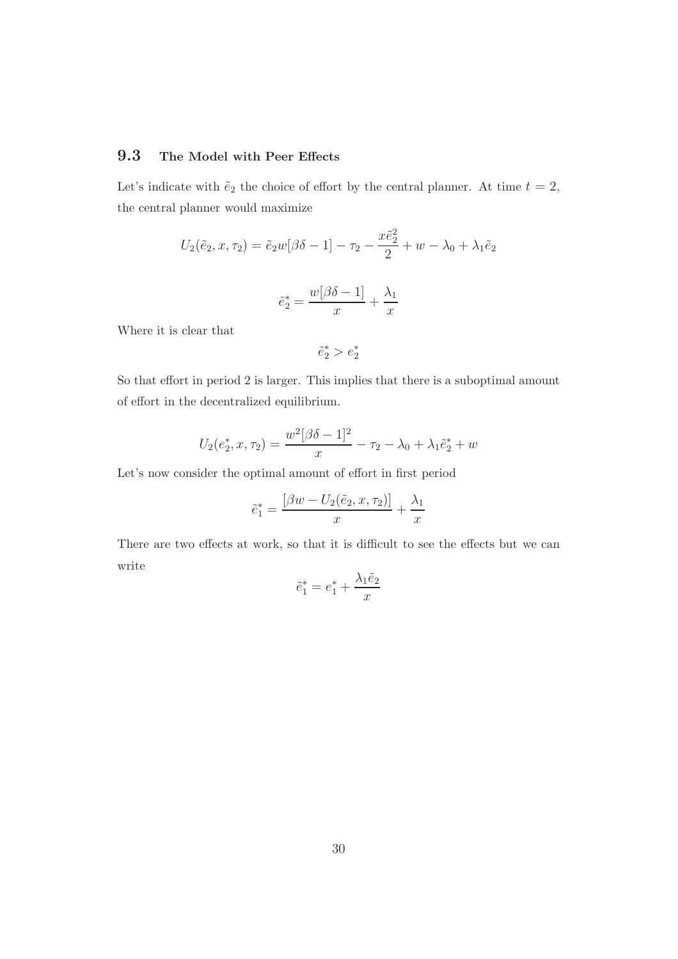#### **9.3 The Model with Peer Effects**

Let's indicate with  $\tilde{e}_2$  the choice of effort by the central planner. At time  $t = 2$ , the central planner would maximize

$$
U_2(\tilde{e}_2, x, \tau_2) = \tilde{e}_2 w [\beta \delta - 1] - \tau_2 - \frac{x \tilde{e}_2^2}{2} + w - \lambda_0 + \lambda_1 \tilde{e}_2
$$

$$
\tilde{e}_2^* = \frac{w[\beta \delta - 1]}{x} + \frac{\lambda_1}{x}
$$

Where it is clear that

 $\tilde{e}_2^* > e_2^*$ 

 $\overline{x}$ 

So that effort in period 2 is larger. This implies that there is a suboptimal amount of effort in the decentralized equilibrium.

$$
U_2(e_2^*, x, \tau_2) = \frac{w^2[\beta \delta - 1]^2}{x} - \tau_2 - \lambda_0 + \lambda_1 \tilde{e}_2^* + w
$$

Let's now consider the optimal amount of effort in first period

$$
\tilde{e}_1^* = \frac{\left[\beta w - U_2(\tilde{e}_2, x, \tau_2)\right]}{x} + \frac{\lambda_1}{x}
$$

There are two effects at work, so that it is difficult to see the effects but we can write

$$
\tilde{e}_1^* = e_1^* + \frac{\lambda_1 \tilde{e}_2}{x}
$$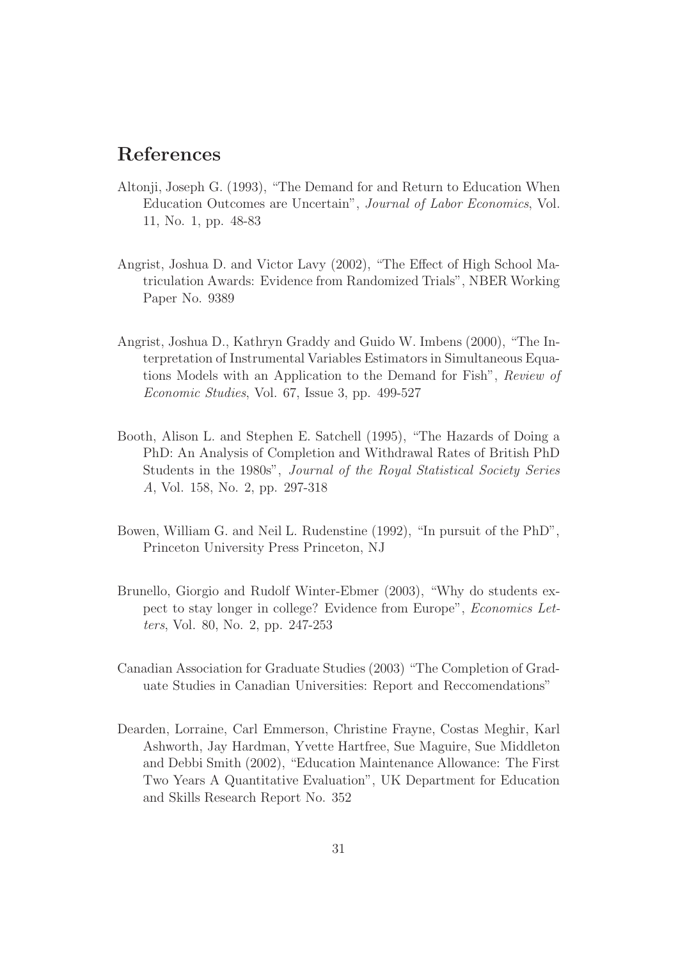## **References**

- Altonji, Joseph G. (1993), "The Demand for and Return to Education When Education Outcomes are Uncertain", *Journal of Labor Economics*, Vol. 11, No. 1, pp. 48-83
- Angrist, Joshua D. and Victor Lavy (2002), "The Effect of High School Matriculation Awards: Evidence from Randomized Trials", NBER Working Paper No. 9389
- Angrist, Joshua D., Kathryn Graddy and Guido W. Imbens (2000), "The Interpretation of Instrumental Variables Estimators in Simultaneous Equations Models with an Application to the Demand for Fish", *Review of Economic Studies*, Vol. 67, Issue 3, pp. 499-527
- Booth, Alison L. and Stephen E. Satchell (1995), "The Hazards of Doing a PhD: An Analysis of Completion and Withdrawal Rates of British PhD Students in the 1980s", *Journal of the Royal Statistical Society Series A*, Vol. 158, No. 2, pp. 297-318
- Bowen, William G. and Neil L. Rudenstine (1992), "In pursuit of the PhD", Princeton University Press Princeton, NJ
- Brunello, Giorgio and Rudolf Winter-Ebmer (2003), "Why do students expect to stay longer in college? Evidence from Europe", *Economics Letters*, Vol. 80, No. 2, pp. 247-253
- Canadian Association for Graduate Studies (2003) "The Completion of Graduate Studies in Canadian Universities: Report and Reccomendations"
- Dearden, Lorraine, Carl Emmerson, Christine Frayne, Costas Meghir, Karl Ashworth, Jay Hardman, Yvette Hartfree, Sue Maguire, Sue Middleton and Debbi Smith (2002), "Education Maintenance Allowance: The First Two Years A Quantitative Evaluation", UK Department for Education and Skills Research Report No. 352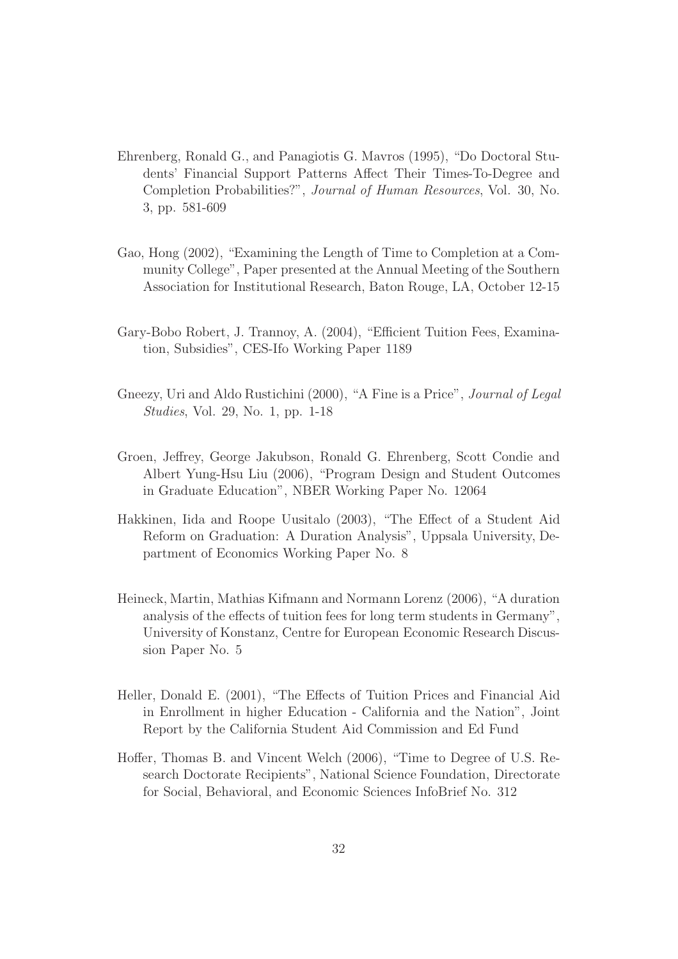- Ehrenberg, Ronald G., and Panagiotis G. Mavros (1995), "Do Doctoral Students' Financial Support Patterns Affect Their Times-To-Degree and Completion Probabilities?", *Journal of Human Resources*, Vol. 30, No. 3, pp. 581-609
- Gao, Hong (2002), "Examining the Length of Time to Completion at a Community College", Paper presented at the Annual Meeting of the Southern Association for Institutional Research, Baton Rouge, LA, October 12-15
- Gary-Bobo Robert, J. Trannoy, A. (2004), "Efficient Tuition Fees, Examination, Subsidies", CES-Ifo Working Paper 1189
- Gneezy, Uri and Aldo Rustichini (2000), "A Fine is a Price", *Journal of Legal Studies*, Vol. 29, No. 1, pp. 1-18
- Groen, Jeffrey, George Jakubson, Ronald G. Ehrenberg, Scott Condie and Albert Yung-Hsu Liu (2006), "Program Design and Student Outcomes in Graduate Education", NBER Working Paper No. 12064
- Hakkinen, Iida and Roope Uusitalo (2003), "The Effect of a Student Aid Reform on Graduation: A Duration Analysis", Uppsala University, Department of Economics Working Paper No. 8
- Heineck, Martin, Mathias Kifmann and Normann Lorenz (2006), "A duration analysis of the effects of tuition fees for long term students in Germany", University of Konstanz, Centre for European Economic Research Discussion Paper No. 5
- Heller, Donald E. (2001), "The Effects of Tuition Prices and Financial Aid in Enrollment in higher Education - California and the Nation", Joint Report by the California Student Aid Commission and Ed Fund
- Hoffer, Thomas B. and Vincent Welch (2006), "Time to Degree of U.S. Research Doctorate Recipients", National Science Foundation, Directorate for Social, Behavioral, and Economic Sciences InfoBrief No. 312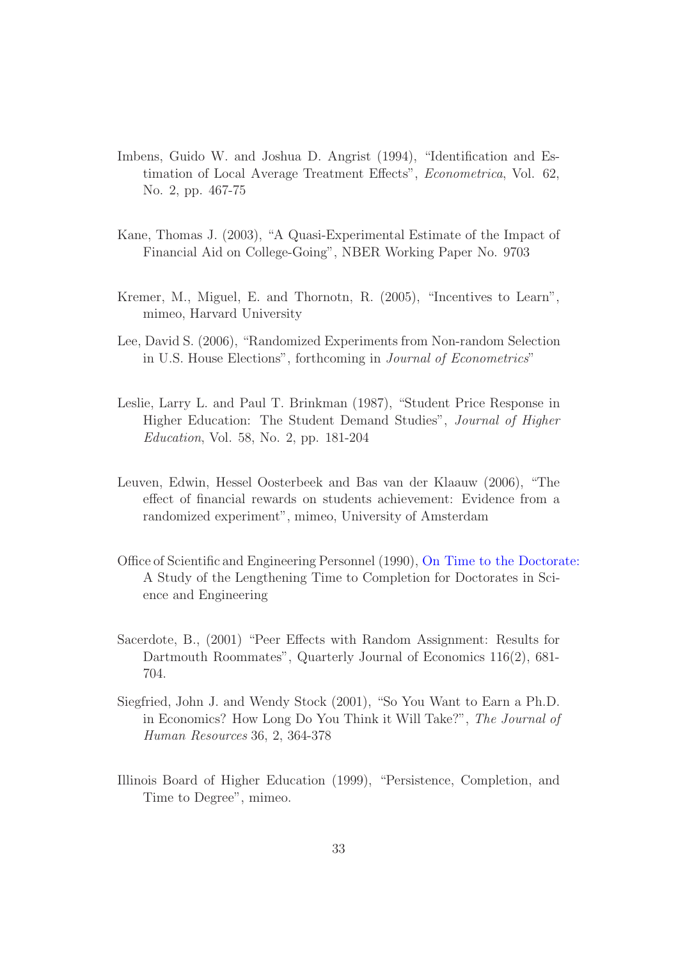- Imbens, Guido W. and Joshua D. Angrist (1994), "Identification and Estimation of Local Average Treatment Effects", *Econometrica*, Vol. 62, No. 2, pp. 467-75
- Kane, Thomas J. (2003), "A Quasi-Experimental Estimate of the Impact of Financial Aid on College-Going", NBER Working Paper No. 9703
- Kremer, M., Miguel, E. and Thornotn, R. (2005), "Incentives to Learn", mimeo, Harvard University
- Lee, David S. (2006), "Randomized Experiments from Non-random Selection in U.S. House Elections", forthcoming in *Journal of Econometrics*"
- Leslie, Larry L. and Paul T. Brinkman (1987), "Student Price Response in Higher Education: The Student Demand Studies", *Journal of Higher Education*, Vol. 58, No. 2, pp. 181-204
- Leuven, Edwin, Hessel Oosterbeek and Bas van der Klaauw (2006), "The effect of financial rewards on students achievement: Evidence from a randomized experiment", mimeo, University of Amsterdam
- Office of Scientific and Engineering Personnel (1990), [On Time to the Doctorate:](http://fermat.nap.edu/books/030904085X/html/7.html) A Study of the Lengthening Time to Completion for Doctorates in Science and Engineering
- Sacerdote, B., (2001) "Peer Effects with Random Assignment: Results for Dartmouth Roommates", Quarterly Journal of Economics 116(2), 681- 704.
- Siegfried, John J. and Wendy Stock (2001), "So You Want to Earn a Ph.D. in Economics? How Long Do You Think it Will Take?", *The Journal of Human Resources* 36, 2, 364-378
- Illinois Board of Higher Education (1999), "Persistence, Completion, and Time to Degree", mimeo.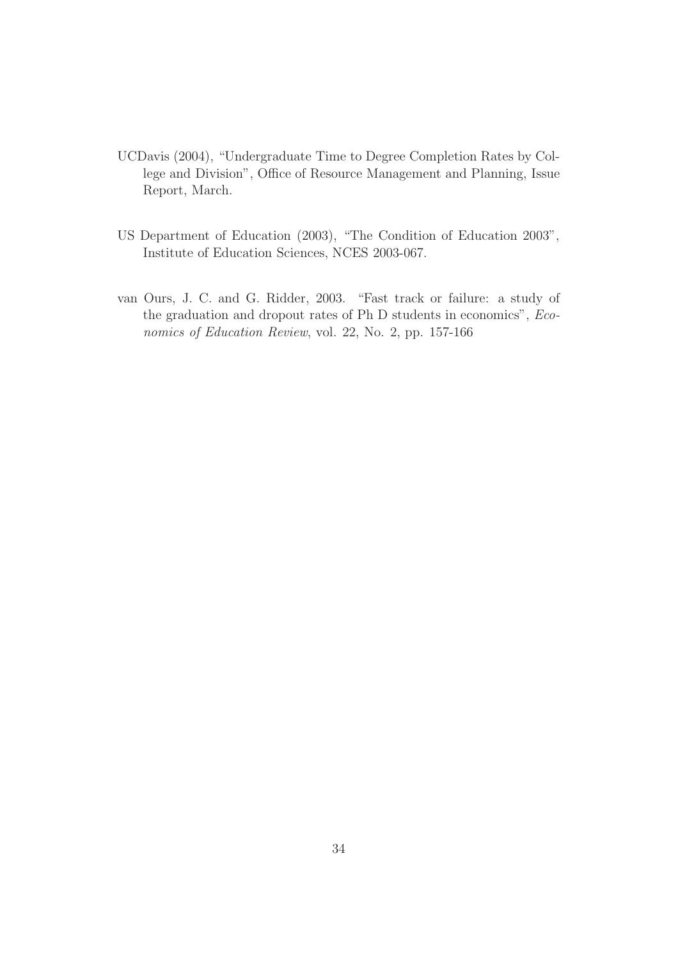- UCDavis (2004), "Undergraduate Time to Degree Completion Rates by College and Division", Office of Resource Management and Planning, Issue Report, March.
- US Department of Education (2003), "The Condition of Education 2003", Institute of Education Sciences, NCES 2003-067.
- van Ours, J. C. and G. Ridder, 2003. "Fast track or failure: a study of the graduation and dropout rates of Ph D students in economics", *Economics of Education Review*, vol. 22, No. 2, pp. 157-166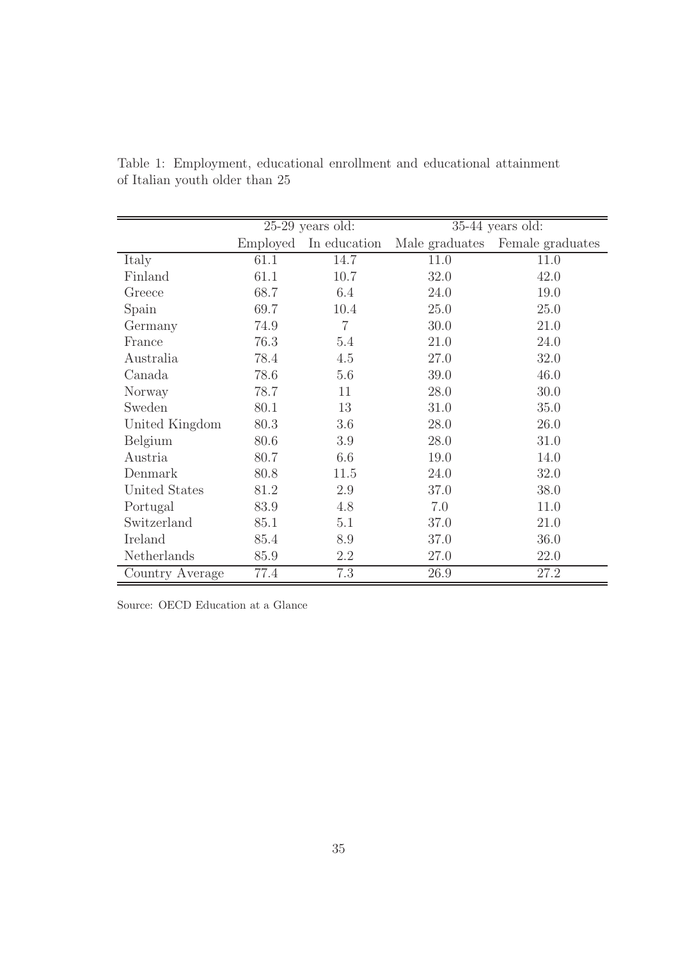|                 | $25-29$ years old: |                | $35-44$ years old: |                  |
|-----------------|--------------------|----------------|--------------------|------------------|
|                 | Employed           | In education   | Male graduates     | Female graduates |
| Italy           | 61.1               | 14.7           | 11.0               | 11.0             |
| Finland         | 61.1               | 10.7           | 32.0               | 42.0             |
| Greece          | 68.7               | 6.4            | 24.0               | 19.0             |
| Spain           | 69.7               | 10.4           | 25.0               | 25.0             |
| Germany         | 74.9               | $\overline{7}$ | 30.0               | 21.0             |
| France          | 76.3               | 5.4            | 21.0               | 24.0             |
| Australia       | 78.4               | 4.5            | 27.0               | 32.0             |
| Canada          | 78.6               | 5.6            | 39.0               | 46.0             |
| Norway          | 78.7               | 11             | 28.0               | 30.0             |
| Sweden          | 80.1               | 13             | 31.0               | 35.0             |
| United Kingdom  | 80.3               | 3.6            | 28.0               | 26.0             |
| Belgium         | 80.6               | 3.9            | 28.0               | 31.0             |
| Austria         | 80.7               | 6.6            | 19.0               | 14.0             |
| Denmark         | 80.8               | 11.5           | 24.0               | 32.0             |
| United States   | 81.2               | 2.9            | 37.0               | 38.0             |
| Portugal        | 83.9               | 4.8            | 7.0                | 11.0             |
| Switzerland     | 85.1               | 5.1            | 37.0               | 21.0             |
| Ireland         | 85.4               | 8.9            | 37.0               | 36.0             |
| Netherlands     | 85.9               | 2.2            | 27.0               | 22.0             |
| Country Average | 77.4               | 7.3            | 26.9               | 27.2             |

<span id="page-35-0"></span>Table 1: Employment, educational enrollment and educational attainment of Italian youth older than 25

Source: OECD Education at a Glance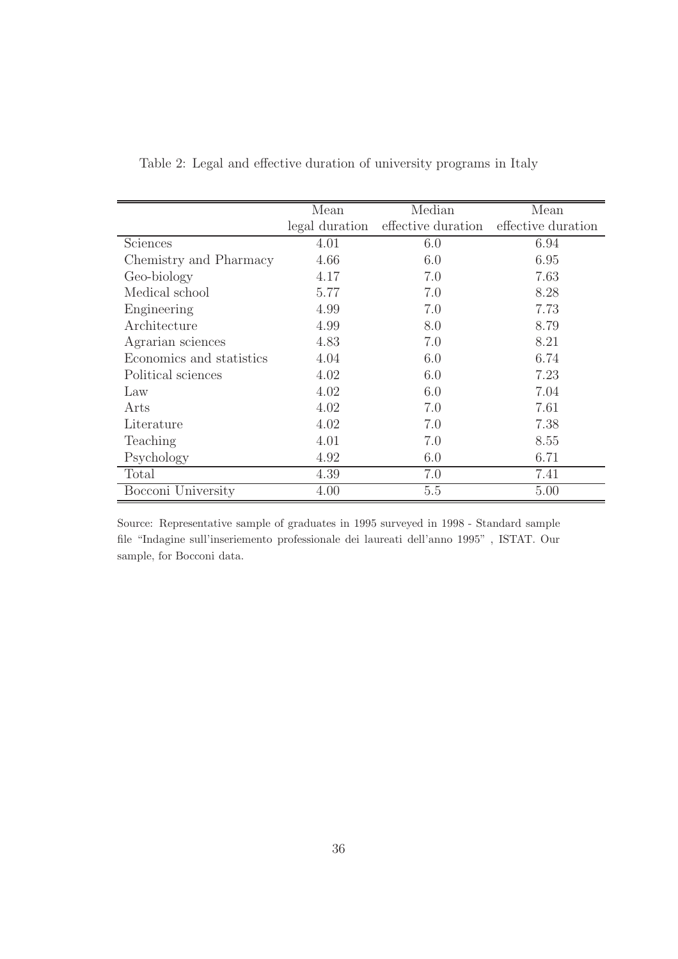|                          | Mean           | Median             | Mean               |
|--------------------------|----------------|--------------------|--------------------|
|                          | legal duration | effective duration | effective duration |
| Sciences                 | 4.01           | 6.0                | 6.94               |
| Chemistry and Pharmacy   | 4.66           | 6.0                | 6.95               |
| Geo-biology              | 4.17           | 7.0                | 7.63               |
| Medical school           | 5.77           | 7.0                | 8.28               |
| Engineering              | 4.99           | 7.0                | 7.73               |
| Architecture             | 4.99           | 8.0                | 8.79               |
| Agrarian sciences        | 4.83           | 7.0                | 8.21               |
| Economics and statistics | 4.04           | 6.0                | 6.74               |
| Political sciences       | 4.02           | 6.0                | 7.23               |
| Law                      | 4.02           | 6.0                | 7.04               |
| Arts                     | 4.02           | 7.0                | 7.61               |
| Literature               | 4.02           | 7.0                | 7.38               |
| Teaching                 | 4.01           | 7.0                | 8.55               |
| Psychology               | 4.92           | 6.0                | 6.71               |
| Total                    | 4.39           | 7.0                | 7.41               |
| Bocconi University       | 4.00           | 5.5                | 5.00               |

<span id="page-36-0"></span>Table 2: Legal and effective duration of university programs in Italy

Source: Representative sample of graduates in 1995 surveyed in 1998 - Standard sample file "Indagine sull'inseriemento professionale dei laureati dell'anno 1995" , ISTAT. Our sample, for Bocconi data.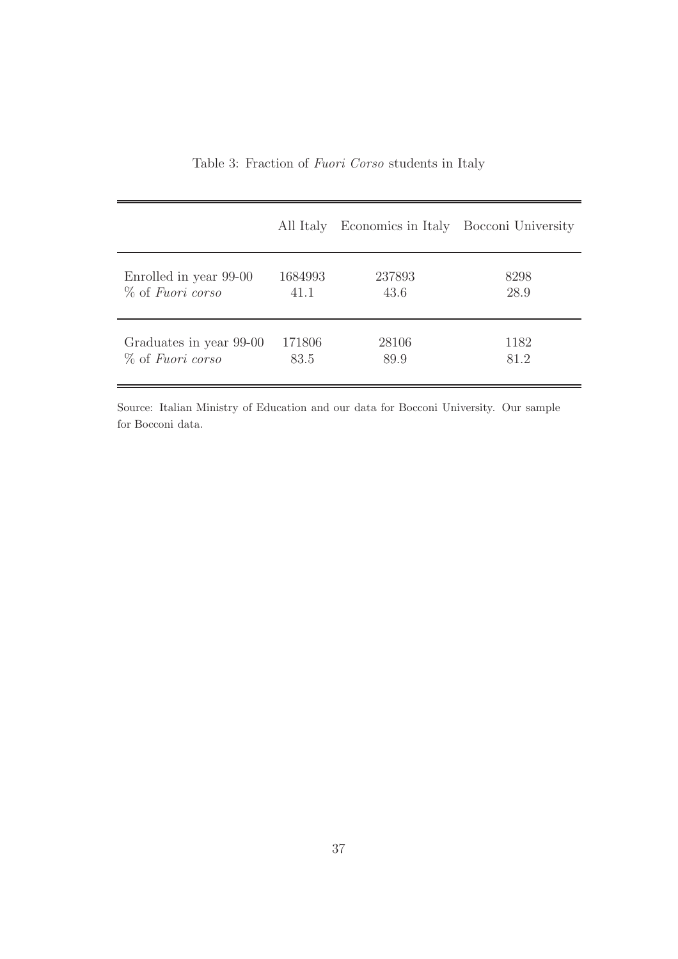|                         | All Italy | Economics in Italy Bocconi University |      |
|-------------------------|-----------|---------------------------------------|------|
| Enrolled in year 99-00  | 1684993   | 237893                                | 8298 |
| % of Fuori corso        | 41.1      | 43.6                                  | 28.9 |
| Graduates in year 99-00 | 171806    | 28106                                 | 1182 |
| % of Fuori corso        | 83.5      | 89.9                                  | 81.2 |

<span id="page-37-0"></span>Table 3: Fraction of *Fuori Corso* students in Italy

Source: Italian Ministry of Education and our data for Bocconi University. Our sample for Bocconi data.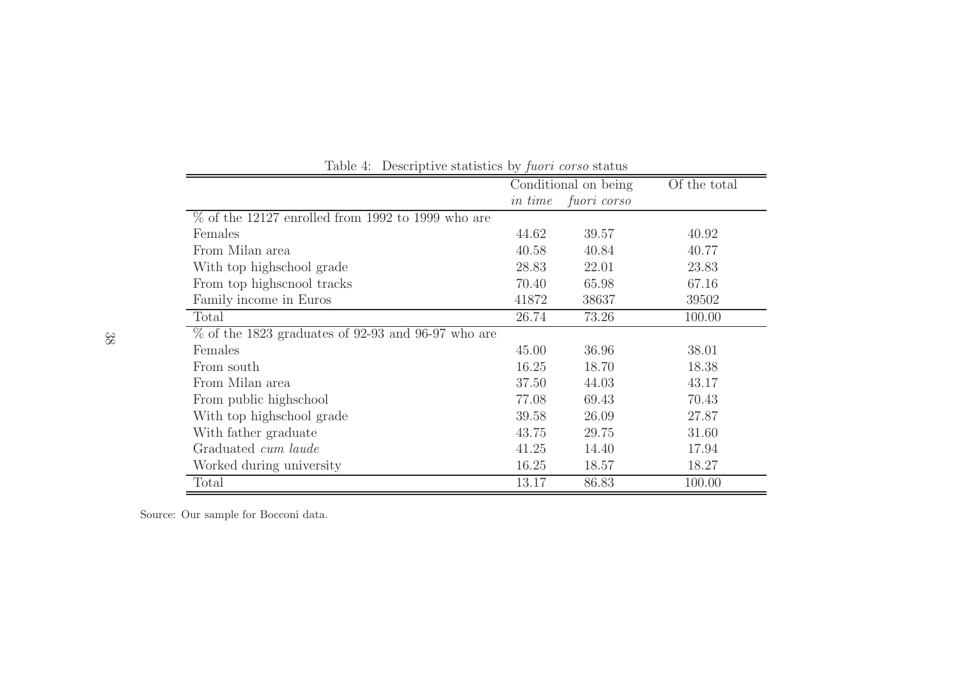|                                                                | Conditional on being |             | Of the total |
|----------------------------------------------------------------|----------------------|-------------|--------------|
|                                                                | <i>in time</i>       | fuori corso |              |
| $\frac{1}{\%}$ of the 12127 enrolled from 1992 to 1999 who are |                      |             |              |
| Females                                                        | 44.62                | 39.57       | 40.92        |
| From Milan area                                                | 40.58                | 40.84       | 40.77        |
| With top highschool grade                                      | 28.83                | 22.01       | 23.83        |
| From top highsenool tracks                                     | 70.40                | 65.98       | 67.16        |
| Family income in Euros                                         | 41872                | 38637       | 39502        |
| Total                                                          | 26.74                | 73.26       | 100.00       |
| $\%$ of the 1823 graduates of 92-93 and 96-97 who are          |                      |             |              |
| Females                                                        | 45.00                | 36.96       | 38.01        |
| From south                                                     | 16.25                | 18.70       | 18.38        |
| From Milan area                                                | 37.50                | 44.03       | 43.17        |
| From public highschool                                         | 77.08                | 69.43       | 70.43        |
| With top highschool grade                                      | 39.58                | 26.09       | 27.87        |
| With father graduate                                           | 43.75                | 29.75       | 31.60        |
| Graduated cum laude                                            | 41.25                | 14.40       | 17.94        |
| Worked during university                                       | 16.25                | 18.57       | 18.27        |
| Total                                                          | 13.17                | 86.83       | 100.00       |

Table 4: Descriptive statistics by *fuori corso* status

<span id="page-38-0"></span>Source: Our sample for Bocconi data.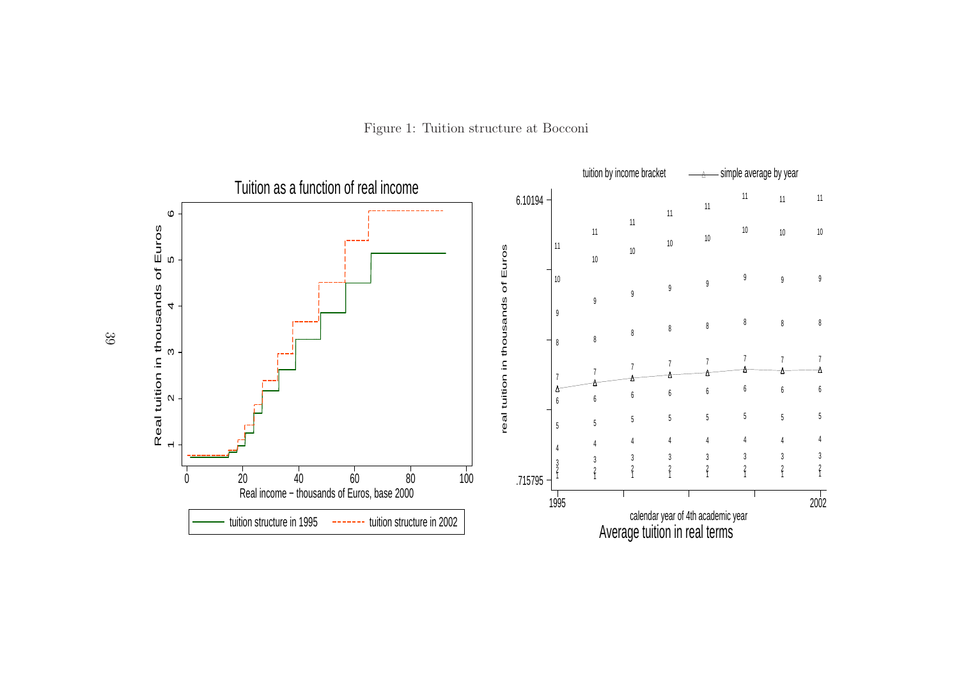

<span id="page-39-0"></span>Figure 1: Tuition structure at Bocconi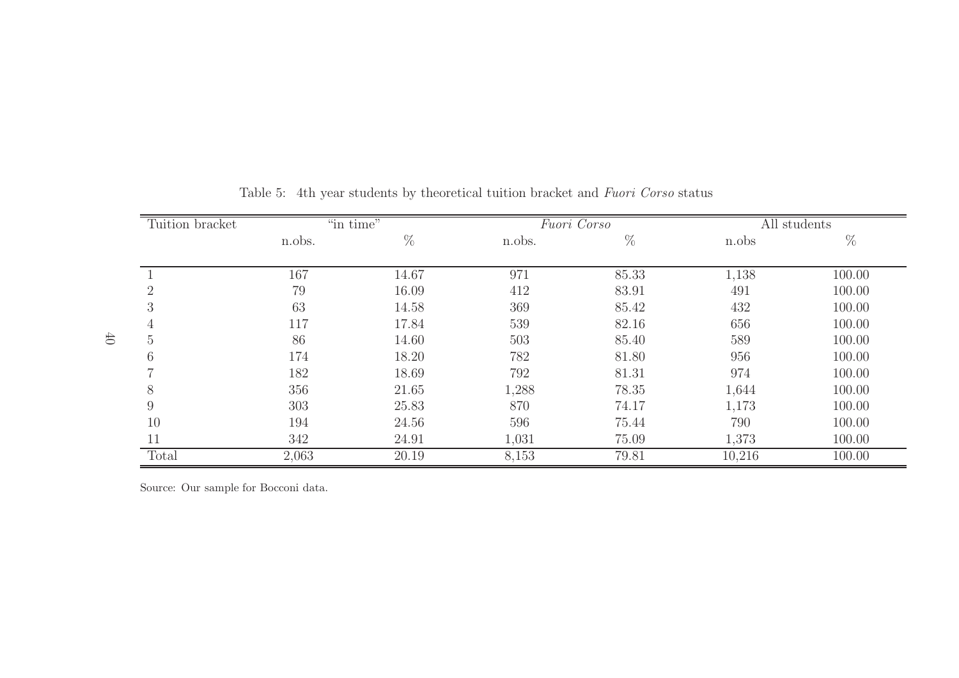| Tuition bracket |        | "in time" |            | Fuori Corso    |              | All students     |  |
|-----------------|--------|-----------|------------|----------------|--------------|------------------|--|
|                 | n.obs. | %         | n.obs.     | $\%$           | n.obs        | $\%$             |  |
|                 | 167    | 14.67     |            |                |              |                  |  |
| $\overline{2}$  | 79     | 16.09     | 971<br>412 | 85.33<br>83.91 | 1,138<br>491 | 100.00<br>100.00 |  |
| 3               | 63     | 14.58     | 369        | 85.42          | 432          | 100.00           |  |
| 4               | 117    | 17.84     | 539        | 82.16          | 656          | 100.00           |  |
| 5               | 86     | 14.60     | 503        | 85.40          | 589          | 100.00           |  |
| 6               | 174    | 18.20     | 782        | 81.80          | 956          | 100.00           |  |
|                 | 182    | 18.69     | 792        | 81.31          | 974          | 100.00           |  |
| 8               | 356    | 21.65     | 1,288      | 78.35          | 1,644        | 100.00           |  |
| 9               | 303    | 25.83     | 870        | 74.17          | 1,173        | 100.00           |  |
| 10              | 194    | 24.56     | 596        | 75.44          | 790          | 100.00           |  |
| 11              | 342    | 24.91     | 1,031      | 75.09          | 1,373        | 100.00           |  |
| Total           | 2,063  | 20.19     | 8,153      | 79.81          | 10,216       | 100.00           |  |

Table 5: 4th year students by theoretical tuition bracket and *Fuori Corso* status

<span id="page-40-0"></span>Source: Our sample for Bocconi data.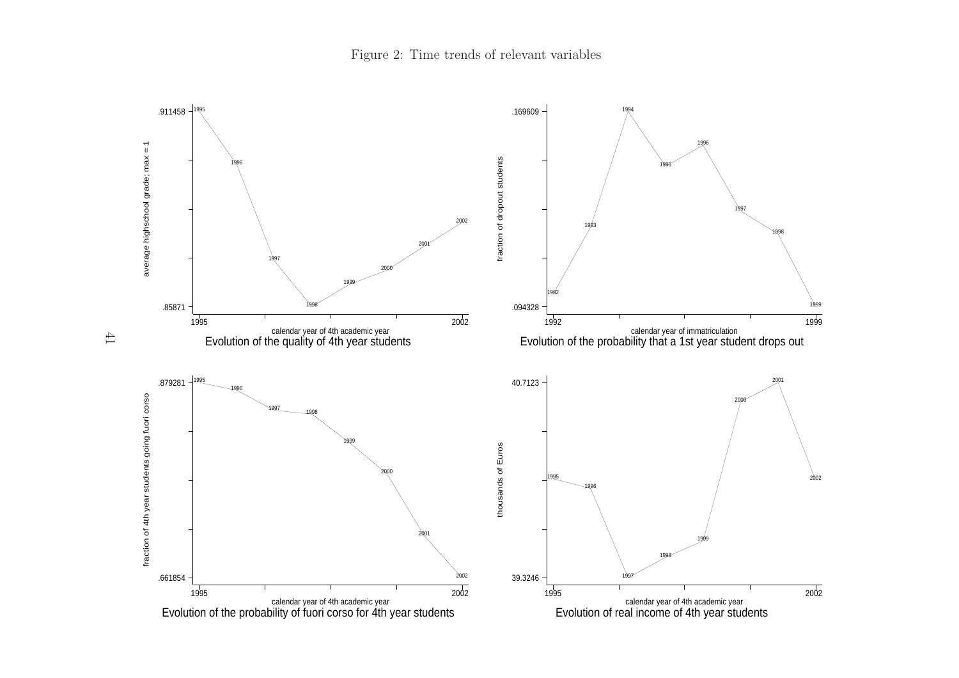

<span id="page-41-0"></span>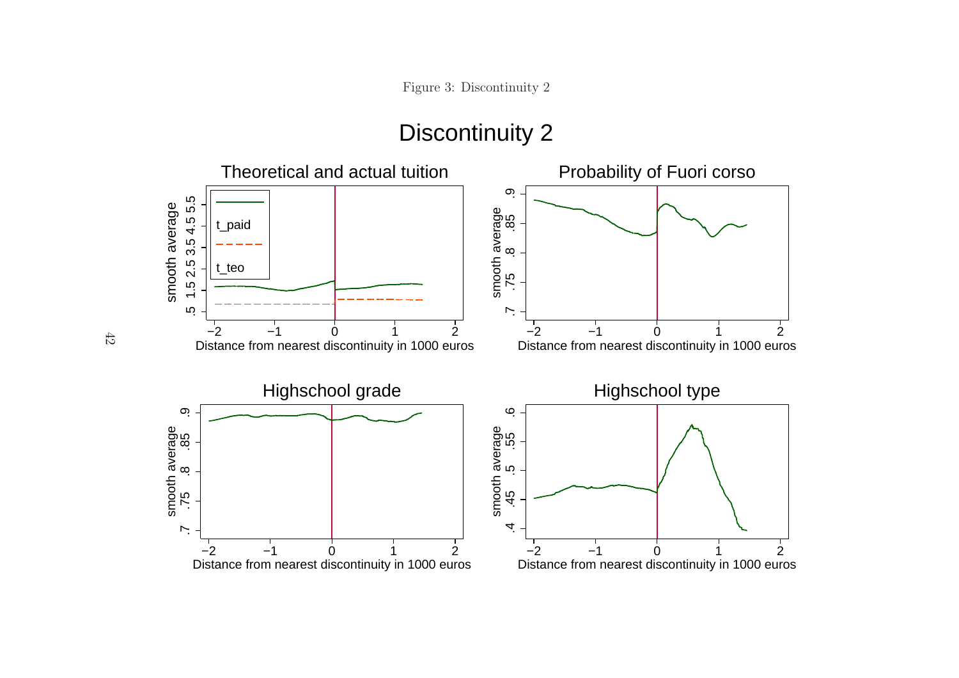# <span id="page-42-0"></span>Discontinuity 2

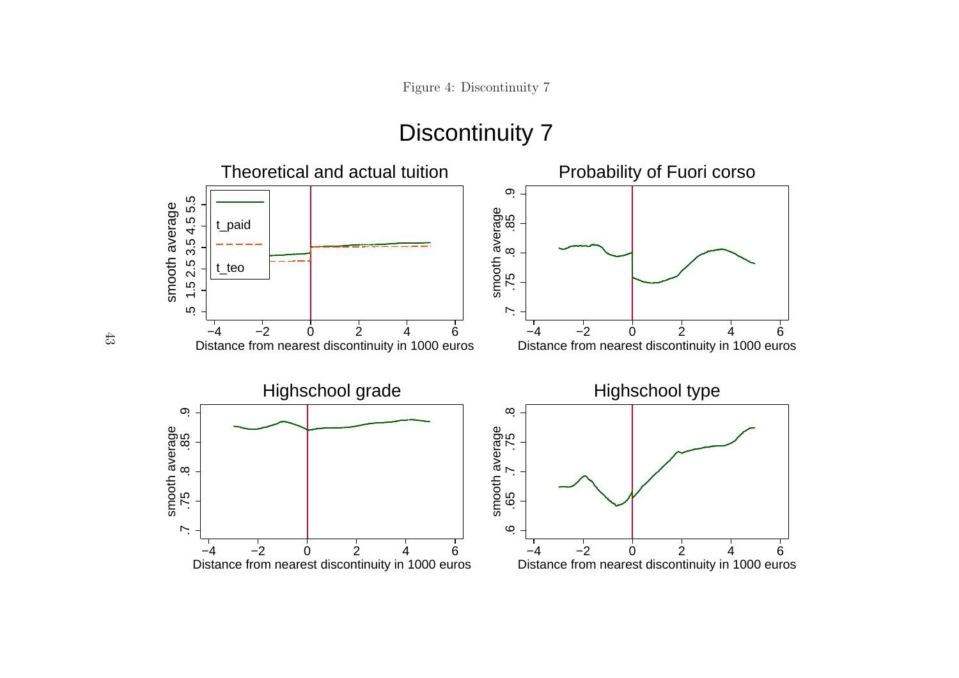# <span id="page-43-0"></span>Discontinuity 7

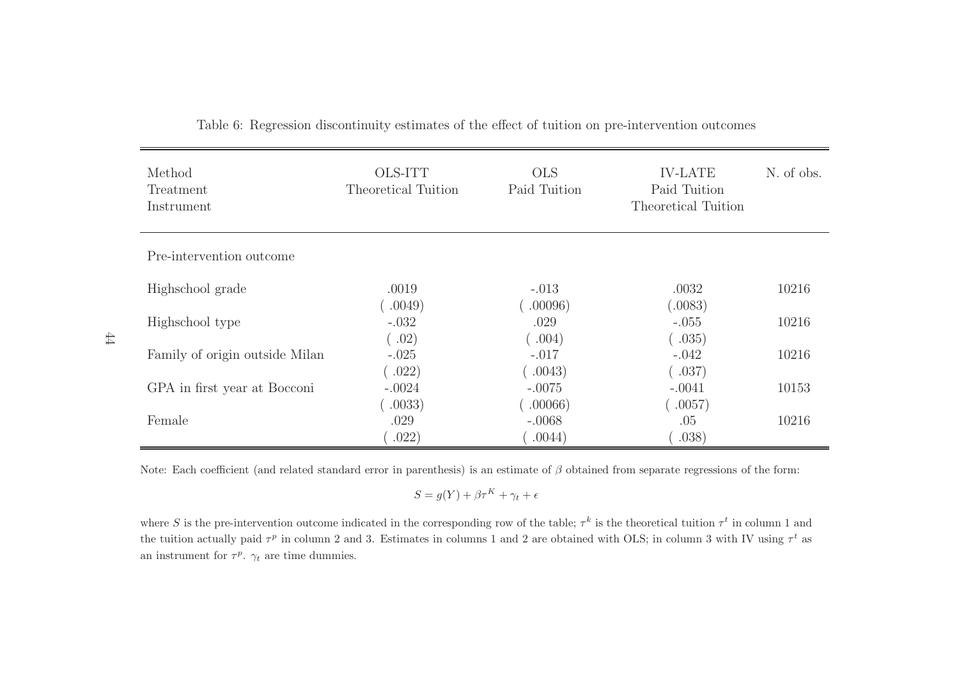| Method<br>Treatment<br>Instrument | OLS-ITT<br>Theoretical Tuition | <b>OLS</b><br>Paid Tuition   | <b>IV-LATE</b><br>Paid Tuition<br>Theoretical Tuition | N. of obs. |
|-----------------------------------|--------------------------------|------------------------------|-------------------------------------------------------|------------|
| Pre-intervention outcome          |                                |                              |                                                       |            |
| Highschool grade                  | .0019<br>.0049)                | $-.013$<br>.00096)           | .0032<br>(.0083)                                      | 10216      |
| Highschool type                   | $-.032$<br>(.02)               | .029<br>$\left( .004\right)$ | $-.055$<br>0.035)                                     | 10216      |
| Family of origin outside Milan    | $-.025$<br>.022)               | $-.017$<br>.0043)            | $-.042$<br>(.037)                                     | 10216      |
| GPA in first year at Bocconi      | $-.0024$<br>.0033)             | $-.0075$<br>.00066)          | $-.0041$<br>$\left( 0.0057\right)$                    | 10153      |
| Female                            | .029<br>.022)                  | $-.0068$<br>.0044)           | .05<br>.038)                                          | 10216      |

Table 6: Regression discontinuity estimates of the effect of tuition on pre-intervention outcomes

Note: Each coefficient (and related standard error in parenthesis) is an estimate of  $\beta$  obtained from separate regressions of the form:

<span id="page-44-0"></span>
$$
S = g(Y) + \beta \tau^K + \gamma_t + \epsilon
$$

where S is the pre-intervention outcome indicated in the corresponding row of the table;  $\tau^k$  is the theoretical tuition  $\tau^t$  in column 1 and the tuition actually paid  $\tau^p$  in column 2 and 3. Estimates in columns 1 and 2 are obtained with OLS; in column 3 with IV using  $\tau^t$  as an instrument for  $\tau^p$ .  $\gamma_t$  are time dummies.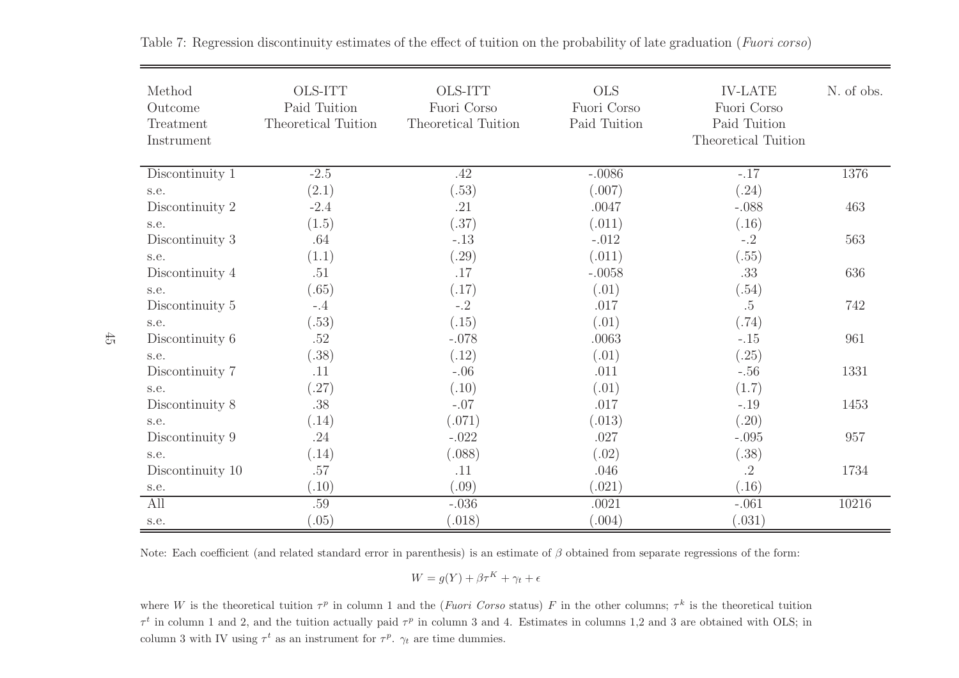| Method<br>Outcome<br>Treatment<br>Instrument | <b>OLS-ITT</b><br>Paid Tuition<br>Theoretical Tuition | <b>OLS-ITT</b><br>Fuori Corso<br>Theoretical Tuition | <b>OLS</b><br>Fuori Corso<br>Paid Tuition | <b>IV-LATE</b><br>Fuori Corso<br>Paid Tuition<br>Theoretical Tuition | N. of obs. |
|----------------------------------------------|-------------------------------------------------------|------------------------------------------------------|-------------------------------------------|----------------------------------------------------------------------|------------|
| Discontinuity 1                              | $-2.5$                                                | .42                                                  | $-.0086$                                  | $-.17$                                                               | 1376       |
| s.e.                                         | (2.1)                                                 | (.53)                                                | (.007)                                    | (.24)                                                                |            |
| Discontinuity 2                              | $-2.4$                                                | .21                                                  | .0047                                     | $-.088$                                                              | 463        |
| s.e.                                         | (1.5)                                                 | (.37)                                                | (.011)                                    | (.16)                                                                |            |
| Discontinuity 3                              | .64                                                   | $-.13$                                               | $-.012$                                   | $-.2$                                                                | 563        |
| s.e.                                         | (1.1)                                                 | (.29)                                                | (.011)                                    | (.55)                                                                |            |
| Discontinuity 4                              | .51                                                   | .17                                                  | $-.0058$                                  | .33                                                                  | 636        |
| s.e.                                         | (.65)                                                 | (.17)                                                | (.01)                                     | (.54)                                                                |            |
| Discontinuity 5                              | $-.4$                                                 | $-.2$                                                | .017                                      | $.5\,$                                                               | 742        |
| s.e.                                         | (.53)                                                 | (.15)                                                | (.01)                                     | (.74)                                                                |            |
| Discontinuity 6                              | $.52\,$                                               | $-.078$                                              | .0063                                     | $-.15$                                                               | 961        |
| s.e.                                         | (.38)                                                 | (.12)                                                | (.01)                                     | (.25)                                                                |            |
| Discontinuity 7                              | .11                                                   | $-.06$                                               | .011                                      | $-.56$                                                               | 1331       |
| s.e.                                         | (.27)                                                 | (.10)                                                | (.01)                                     | (1.7)                                                                |            |
| Discontinuity 8                              | .38                                                   | $-.07$                                               | .017                                      | $-.19$                                                               | 1453       |
| s.e.                                         | (.14)                                                 | (.071)                                               | (.013)                                    | (.20)                                                                |            |
| Discontinuity 9                              | .24                                                   | $-.022$                                              | .027                                      | $-.095$                                                              | 957        |
| s.e.                                         | (.14)                                                 | (.088)                                               | (.02)                                     | (.38)                                                                |            |
| Discontinuity 10                             | $.57\,$                                               | .11                                                  | .046                                      | $\cdot$ <sup>2</sup>                                                 | 1734       |
| s.e.                                         | (.10)                                                 | (.09)                                                | (.021)                                    | (.16)                                                                |            |
| All                                          | .59                                                   | $-.036$                                              | .0021                                     | $-.061$                                                              | 10216      |
| s.e.                                         | (0.05)                                                | (.018)                                               | (.004)                                    | (.031)                                                               |            |

Table 7: Regression discontinuity estimates of the effect of tuition on the probability of late graduation (*Fuori corso*)

Note: Each coefficient (and related standard error in parenthesis) is an estimate of  $\beta$  obtained from separate regressions of the form:

<span id="page-45-0"></span>
$$
W = g(Y) + \beta \tau^K + \gamma_t + \epsilon
$$

where W is the theoretical tuition  $\tau^p$  in column 1 and the (*Fuori Corso* status) F in the other columns;  $\tau^k$  is the theoretical tuition  $\tau^t$  in column 1 and 2, and the tuition actually paid  $\tau^p$  in column 3 and 4. Estimates in columns 1,2 and 3 are obtained with OLS; in column 3 with IV using  $\tau^t$  as an instrument for  $\tau^p$ .  $\gamma_t$  are time dummies.